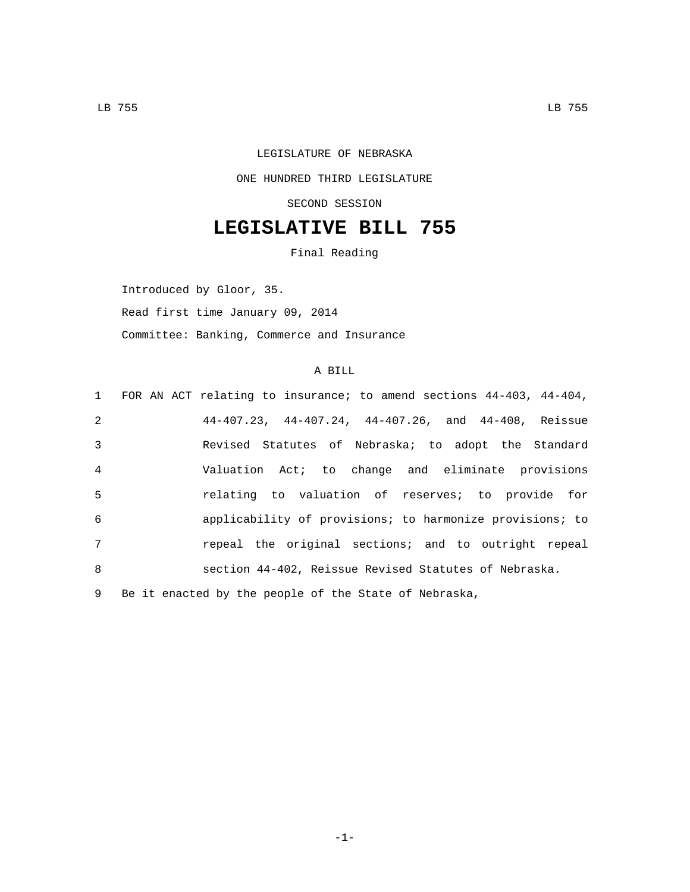## LEGISLATURE OF NEBRASKA ONE HUNDRED THIRD LEGISLATURE SECOND SESSION

## **LEGISLATIVE BILL 755**

Final Reading

Introduced by Gloor, 35. Read first time January 09, 2014 Committee: Banking, Commerce and Insurance

## A BILL

|                 | 1 FOR AN ACT relating to insurance; to amend sections 44-403, 44-404, |
|-----------------|-----------------------------------------------------------------------|
| 2               | $44-407.23$ , $44-407.24$ , $44-407.26$ , and $44-408$ , Reissue      |
| $\mathbf{3}$    | Revised Statutes of Nebraska; to adopt the Standard                   |
| $\overline{4}$  | Valuation Act; to change and eliminate provisions                     |
| 5               | relating to valuation of reserves; to provide for                     |
| 6               | applicability of provisions; to harmonize provisions; to              |
| $7\overline{ }$ | repeal the original sections; and to outright repeal                  |
| $\mathsf{R}$    | section 44-402, Reissue Revised Statutes of Nebraska.                 |
|                 | 9 Be it enacted by the people of the State of Nebraska,               |

-1-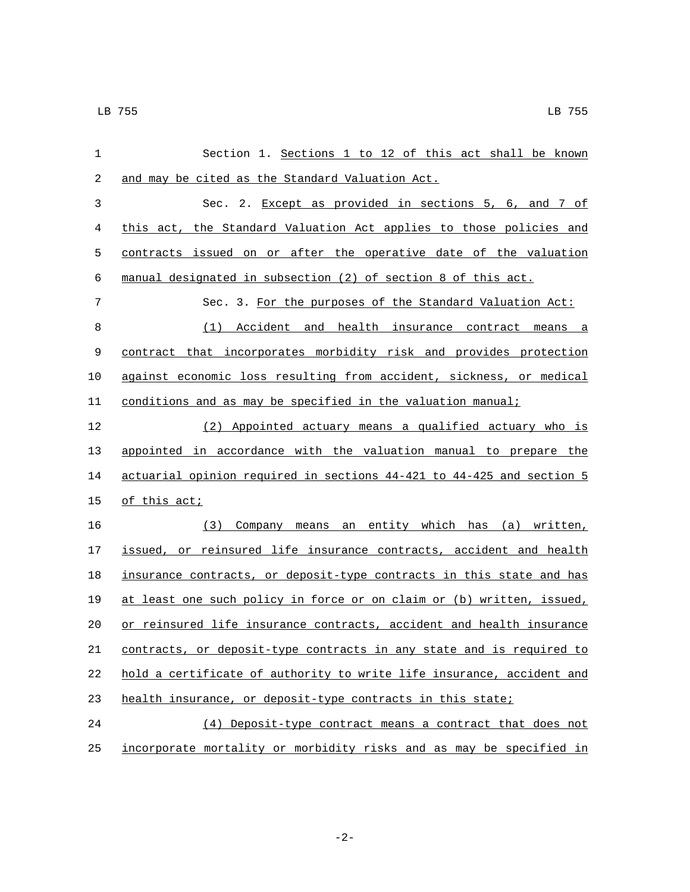| $\mathbf 1$ | Section 1. Sections 1 to 12 of this act shall be known                |
|-------------|-----------------------------------------------------------------------|
| 2           | and may be cited as the Standard Valuation Act.                       |
| 3           | Sec. 2. Except as provided in sections 5, 6, and 7 of                 |
| 4           | this act, the Standard Valuation Act applies to those policies and    |
| 5           | contracts issued on or after the operative date of the valuation      |
| 6           | manual designated in subsection (2) of section 8 of this act.         |
| 7           | Sec. 3. For the purposes of the Standard Valuation Act:               |
| 8           | Accident and health insurance contract means a<br>(1)                 |
| 9           | contract that incorporates morbidity risk and provides protection     |
| 10          | against economic loss resulting from accident, sickness, or medical   |
| 11          | conditions and as may be specified in the valuation manual;           |
| 12          | (2) Appointed actuary means a qualified actuary who is                |
| 13          | appointed in accordance with the valuation manual to prepare the      |
| 14          | actuarial opinion required in sections 44-421 to 44-425 and section 5 |
| 15          | of this act;                                                          |
| 16          | (3) Company means an entity which has (a) written,                    |
| 17          | issued, or reinsured life insurance contracts, accident and health    |
| 18          | insurance contracts, or deposit-type contracts in this state and has  |
| 19          | at least one such policy in force or on claim or (b) written, issued, |
| 20          | or reinsured life insurance contracts, accident and health insurance  |
| 21          | contracts, or deposit-type contracts in any state and is required to  |
| 22          | hold a certificate of authority to write life insurance, accident and |
| 23          | health insurance, or deposit-type contracts in this state;            |
| 24          | (4) Deposit-type contract means a contract that does not              |
| 25          | incorporate mortality or morbidity risks and as may be specified in   |

-2-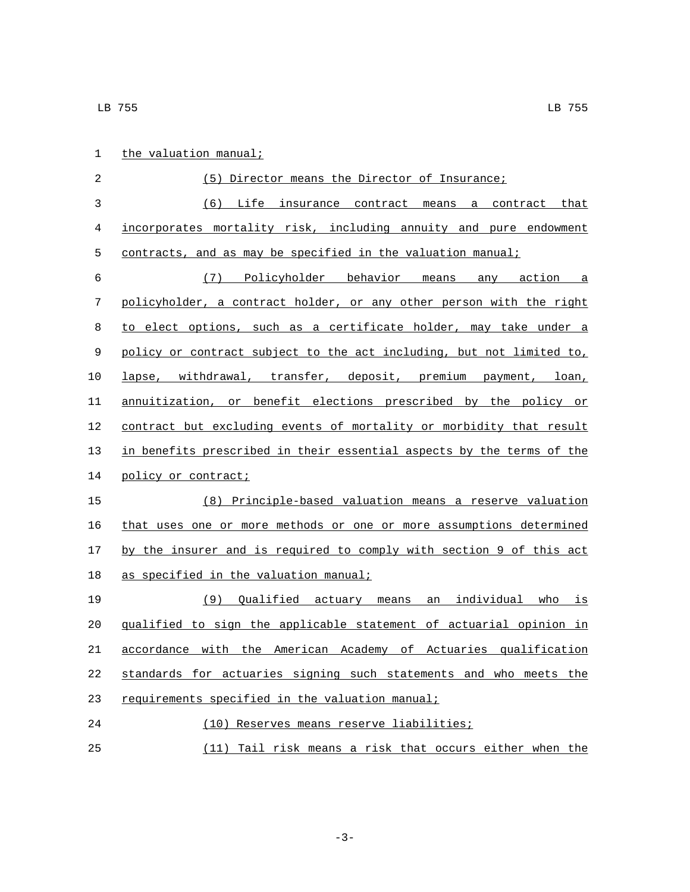| $\mathbf 1$ | the valuation manual;                                                 |
|-------------|-----------------------------------------------------------------------|
| 2           | (5) Director means the Director of Insurance;                         |
| 3           | (6) Life insurance contract means a contract that                     |
| 4           | incorporates mortality risk, including annuity and pure endowment     |
| 5           | contracts, and as may be specified in the valuation manual;           |
| 6           | (7) Policyholder behavior means any action a                          |
| 7           | policyholder, a contract holder, or any other person with the right   |
| 8           | to elect options, such as a certificate holder, may take under a      |
| 9           | policy or contract subject to the act including, but not limited to,  |
| 10          | lapse, withdrawal, transfer, deposit, premium payment, loan,          |
| 11          | annuitization, or benefit elections prescribed by the policy or       |
| 12          | contract but excluding events of mortality or morbidity that result   |
| 13          | in benefits prescribed in their essential aspects by the terms of the |
| 14          | policy or contract;                                                   |
| 15          | (8) Principle-based valuation means a reserve valuation               |
| 16          | that uses one or more methods or one or more assumptions determined   |
| 17          | by the insurer and is required to comply with section 9 of this act   |
| 18          | as specified in the valuation manual;                                 |
| 19          | <u>(9) Qualified actuary means an individual who is</u>               |
| 20          | qualified to sign the applicable statement of actuarial opinion in    |
| 21          | accordance with the American Academy of Actuaries qualification       |
| 22          | standards for actuaries signing such statements and who meets the     |
| 23          | requirements specified in the valuation manual;                       |
| 24          | (10) Reserves means reserve liabilities;                              |
| 25          | (11) Tail risk means a risk that occurs either when the               |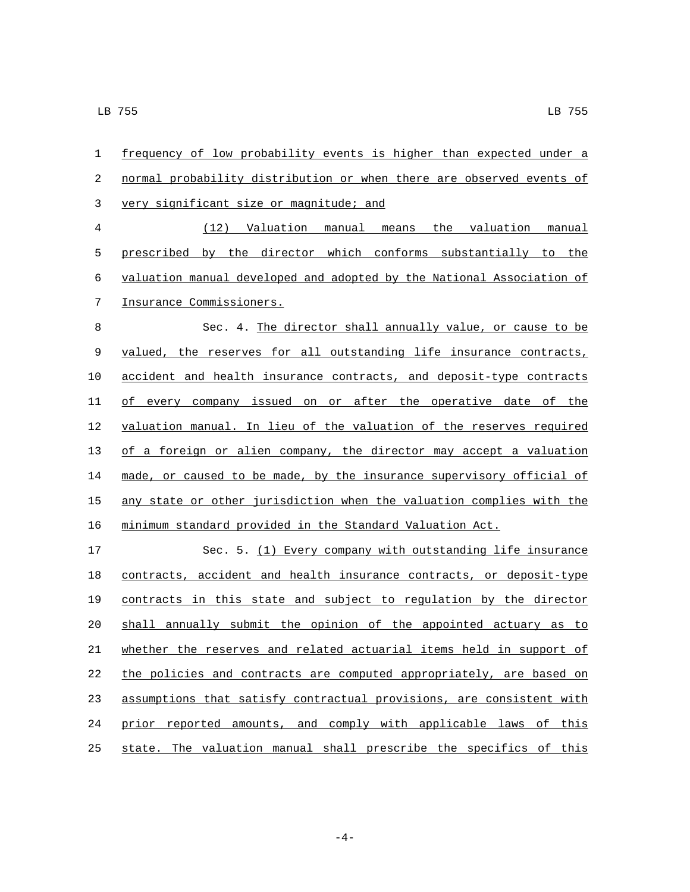| 1                | frequency of low probability events is higher than expected under a   |
|------------------|-----------------------------------------------------------------------|
| $\boldsymbol{2}$ | normal probability distribution or when there are observed events of  |
| $\mathfrak{Z}$   | very significant size or magnitude; and                               |
| $\overline{4}$   | (12) Valuation manual means the valuation manual                      |
| 5                | prescribed by the director which conforms substantially to the        |
| 6                | valuation manual developed and adopted by the National Association of |
| 7                | Insurance Commissioners.                                              |
| $\,8\,$          | Sec. 4. The director shall annually value, or cause to be             |
| $\,9$            | valued, the reserves for all outstanding life insurance contracts,    |
| 10               | accident and health insurance contracts, and deposit-type contracts   |
| 11               | of every company issued on or after the operative date of the         |
| 12               | valuation manual. In lieu of the valuation of the reserves required   |
| 13               | of a foreign or alien company, the director may accept a valuation    |
| 14               | made, or caused to be made, by the insurance supervisory official of  |
| 15               | any state or other jurisdiction when the valuation complies with the  |
| 16               | minimum standard provided in the Standard Valuation Act.              |
| 17               | Sec. 5. (1) Every company with outstanding life insurance             |
| 18               | contracts, accident and health insurance contracts, or deposit-type   |
| 19               | contracts in this state and subject to regulation by the director     |
| 20               | shall annually submit the opinion of the appointed actuary as to      |
| 21               | whether the reserves and related actuarial items held in support of   |
| 22               | the policies and contracts are computed appropriately, are based on   |
| 23               | assumptions that satisfy contractual provisions, are consistent with  |
| 24               | prior reported amounts, and comply with applicable laws of this       |
| 25               | state. The valuation manual shall prescribe the specifics of this     |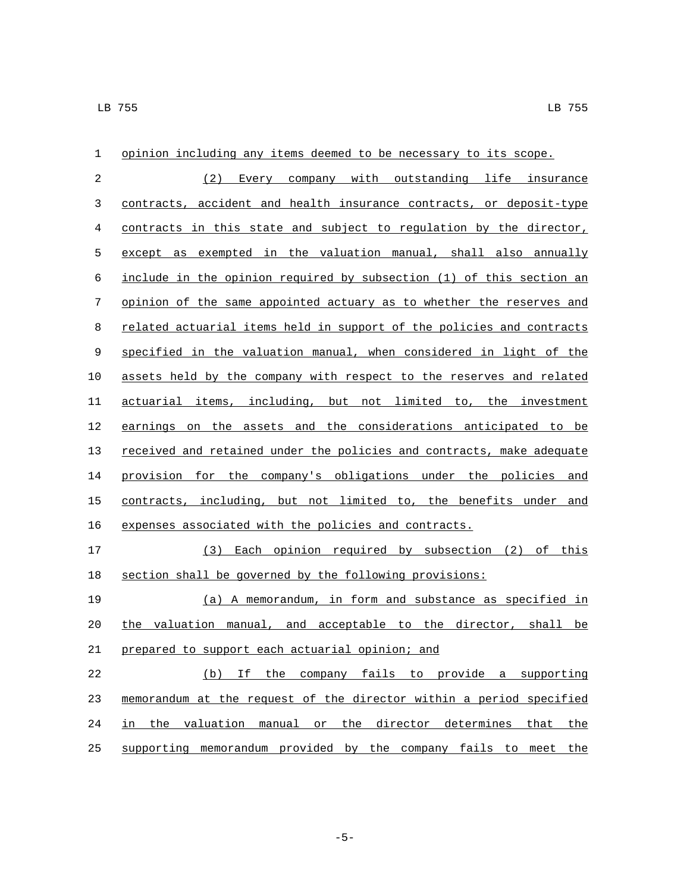| 1          | opinion including any items deemed to be necessary to its scope.      |
|------------|-----------------------------------------------------------------------|
| $\sqrt{2}$ | (2) Every company with outstanding life insurance                     |
| 3          | contracts, accident and health insurance contracts, or deposit-type   |
| 4          | contracts in this state and subject to regulation by the director,    |
| 5          | except as exempted in the valuation manual, shall also annually       |
| $\epsilon$ | include in the opinion required by subsection (1) of this section an  |
| 7          | opinion of the same appointed actuary as to whether the reserves and  |
| 8          | related actuarial items held in support of the policies and contracts |
| 9          | specified in the valuation manual, when considered in light of the    |
| 10         | assets held by the company with respect to the reserves and related   |
| 11         | actuarial items, including, but not limited to, the investment        |
| 12         | earnings on the assets and the considerations anticipated to be       |
| 13         | received and retained under the policies and contracts, make adequate |
| 14         | provision for the company's obligations under the policies and        |
| 15         | contracts, including, but not limited to, the benefits under and      |
| 16         | expenses associated with the policies and contracts.                  |
| 17         | (3) Each opinion required by subsection (2) of this                   |
| 18         | section shall be governed by the following provisions:                |
| 19         | (a) A memorandum, in form and substance as specified in               |
| 20         | the valuation manual, and acceptable to the director, shall be        |
| 21         | prepared to support each actuarial opinion; and                       |
| 22         | (b) If the company fails to provide a supporting                      |
| 23         | memorandum at the request of the director within a period specified   |
| 24         | in the valuation manual or the director determines that the           |
| 25         | supporting memorandum provided by the company fails to meet the       |

-5-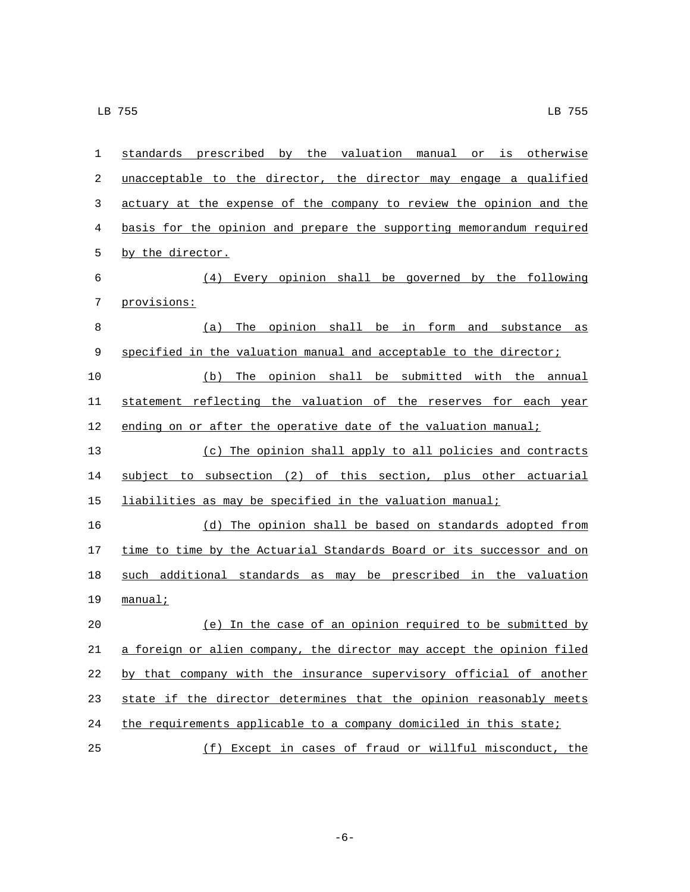| $\mathbf{1}$ | standards prescribed by the valuation manual or is otherwise          |
|--------------|-----------------------------------------------------------------------|
| 2            | unacceptable to the director, the director may engage a qualified     |
| 3            | actuary at the expense of the company to review the opinion and the   |
| 4            | basis for the opinion and prepare the supporting memorandum required  |
| 5            | by the director.                                                      |
| 6            | (4) Every opinion shall be governed by the following                  |
| 7            | provisions:                                                           |
| 8            | The opinion shall be in form and substance as<br>(a)                  |
| 9            | specified in the valuation manual and acceptable to the director;     |
| 10           | (b) The opinion shall be submitted with the annual                    |
| 11           | statement reflecting the valuation of the reserves for each year      |
| 12           | ending on or after the operative date of the valuation manual;        |
| 13           | (c) The opinion shall apply to all policies and contracts             |
| 14           | subject to subsection (2) of this section, plus other actuarial       |
| 15           | liabilities as may be specified in the valuation manual;              |
| 16           | (d) The opinion shall be based on standards adopted from              |
| 17           | time to time by the Actuarial Standards Board or its successor and on |
| 18           | such additional standards as may be prescribed in the valuation       |
| 19           | $manual$ ;                                                            |
| 20           | (e) In the case of an opinion required to be submitted by             |
| 21           | a foreign or alien company, the director may accept the opinion filed |
| 22           | by that company with the insurance supervisory official of another    |
| 23           | state if the director determines that the opinion reasonably meets    |
| 24           | the requirements applicable to a company domiciled in this state;     |
| 25           | (f) Except in cases of fraud or willful misconduct, the               |

-6-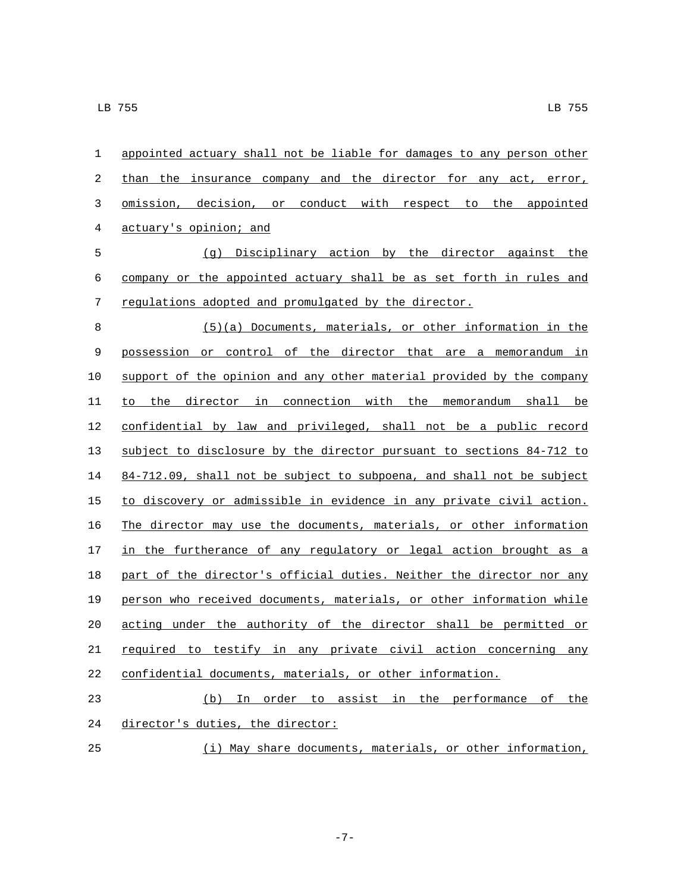| 1          | appointed actuary shall not be liable for damages to any person other |
|------------|-----------------------------------------------------------------------|
| 2          | than the insurance company and the director for any act, error,       |
| 3          | omission, decision, or conduct with respect to the appointed          |
| 4          | actuary's opinion; and                                                |
| 5          | (g) Disciplinary action by the director against the                   |
| $\epsilon$ | company or the appointed actuary shall be as set forth in rules and   |
| 7          | regulations adopted and promulgated by the director.                  |
| 8          | (5)(a) Documents, materials, or other information in the              |
| 9          | possession or control of the director that are a memorandum in        |
| 10         | support of the opinion and any other material provided by the company |
| 11         | to the director in connection with the memorandum shall be            |
| 12         | confidential by law and privileged, shall not be a public record      |
| 13         | subject to disclosure by the director pursuant to sections 84-712 to  |
| 14         | 84-712.09, shall not be subject to subpoena, and shall not be subject |
| 15         | to discovery or admissible in evidence in any private civil action.   |
| 16         | The director may use the documents, materials, or other information   |
| 17         | in the furtherance of any regulatory or legal action brought as a     |
| 18         | part of the director's official duties. Neither the director nor any  |
| 19         | person who received documents, materials, or other information while  |
| 20         | acting under the authority of the director shall be permitted or      |
| 21         | required to testify in any private civil action concerning any        |
| 22         | confidential documents, materials, or other information.              |
| 23         | (b) In order to assist in the performance of<br>the                   |
| 24         | director's duties, the director:                                      |
| 25         | (i) May share documents, materials, or other information,             |

-7-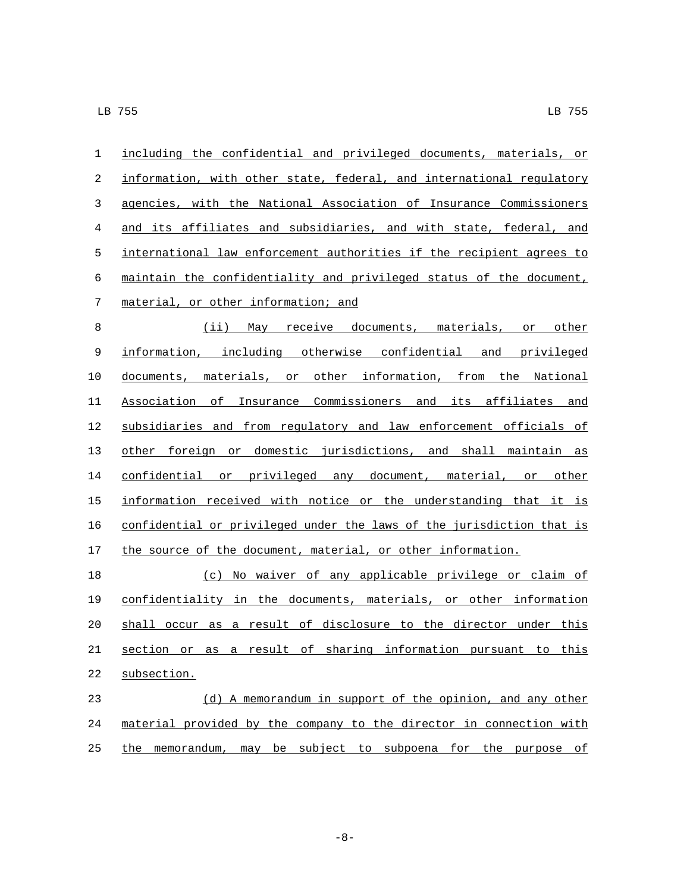| 1          | including the confidential and privileged documents, materials, or    |
|------------|-----------------------------------------------------------------------|
| $\sqrt{2}$ | information, with other state, federal, and international regulatory  |
| 3          | agencies, with the National Association of Insurance Commissioners    |
| 4          | and its affiliates and subsidiaries, and with state, federal, and     |
| 5          | international law enforcement authorities if the recipient agrees to  |
| 6          | maintain the confidentiality and privileged status of the document,   |
| 7          | material, or other information; and                                   |
| 8          | (ii) May receive documents, materials, or other                       |
| 9          | information, including otherwise confidential and privileged          |
| 10         | documents, materials, or other information, from the National         |
| 11         | Association of Insurance Commissioners and its affiliates and         |
| 12         | subsidiaries and from regulatory and law enforcement officials of     |
| 13         | other foreign or domestic jurisdictions, and shall maintain as        |
| 14         | confidential or privileged any document, material, or other           |
| 15         | information received with notice or the understanding that it is      |
| 16         | confidential or privileged under the laws of the jurisdiction that is |
| 17         | the source of the document, material, or other information.           |
| 18         | (c) No waiver of any applicable privilege or claim of                 |
| 19         | confidentiality in the documents, materials, or other information     |
| 20         | shall occur as a result of disclosure to the director under this      |
| 21         | section or as a result of sharing information pursuant to this        |
| 22         | subsection.                                                           |
| 23         | (d) A memorandum in support of the opinion, and any other             |
| 24         | material provided by the company to the director in connection with   |
| 25         | memorandum, may be subject to subpoena for the purpose<br>the<br>оf   |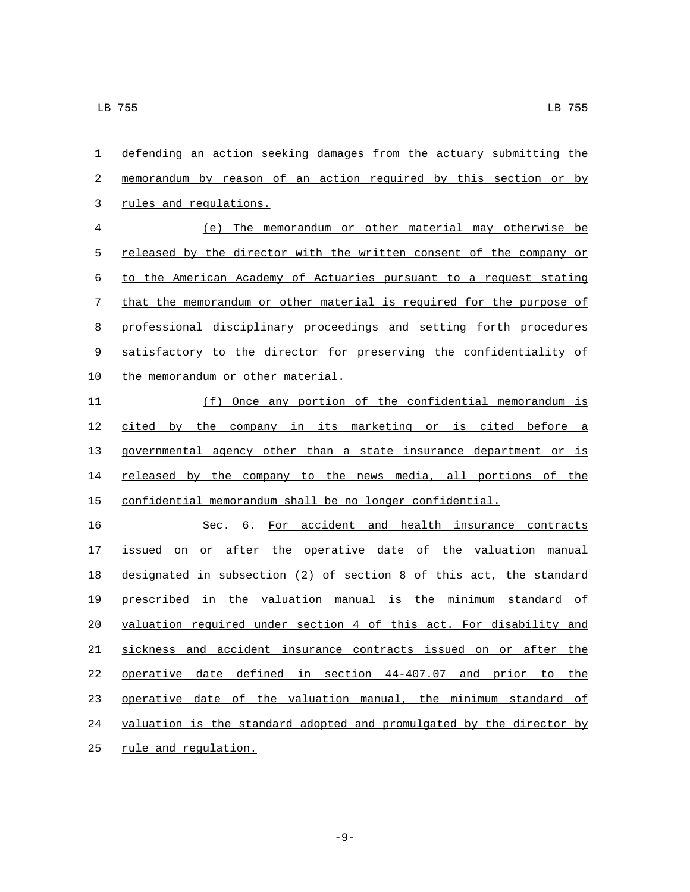defending an action seeking damages from the actuary submitting the memorandum by reason of an action required by this section or by 3 rules and regulations.

 (e) The memorandum or other material may otherwise be 5 released by the director with the written consent of the company or to the American Academy of Actuaries pursuant to a request stating that the memorandum or other material is required for the purpose of professional disciplinary proceedings and setting forth procedures satisfactory to the director for preserving the confidentiality of 10 the memorandum or other material.

 (f) Once any portion of the confidential memorandum is 12 cited by the company in its marketing or is cited before a governmental agency other than a state insurance department or is 14 released by the company to the news media, all portions of the confidential memorandum shall be no longer confidential.

 Sec. 6. For accident and health insurance contracts issued on or after the operative date of the valuation manual designated in subsection (2) of section 8 of this act, the standard prescribed in the valuation manual is the minimum standard of valuation required under section 4 of this act. For disability and sickness and accident insurance contracts issued on or after the operative date defined in section 44-407.07 and prior to the operative date of the valuation manual, the minimum standard of valuation is the standard adopted and promulgated by the director by 25 rule and regulation.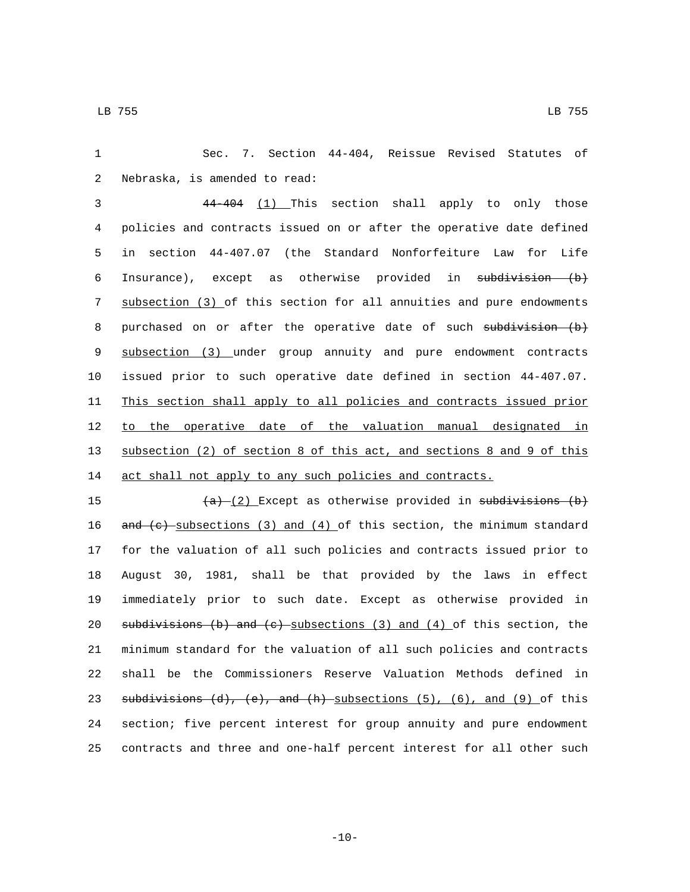1 Sec. 7. Section 44-404, Reissue Revised Statutes of 2 Nebraska, is amended to read:

 44-404 (1) This section shall apply to only those policies and contracts issued on or after the operative date defined in section 44-407.07 (the Standard Nonforfeiture Law for Life 6 Insurance), except as otherwise provided in subdivision (b) subsection (3) of this section for all annuities and pure endowments 8 purchased on or after the operative date of such subdivision (b) subsection (3) under group annuity and pure endowment contracts issued prior to such operative date defined in section 44-407.07. This section shall apply to all policies and contracts issued prior 12 to the operative date of the valuation manual designated in subsection (2) of section 8 of this act, and sections 8 and 9 of this 14 act shall not apply to any such policies and contracts.

 $(a)$   $(2)$  Except as otherwise provided in subdivisions (b)  $\frac{and}{c}$  subsections (3) and (4) of this section, the minimum standard for the valuation of all such policies and contracts issued prior to August 30, 1981, shall be that provided by the laws in effect immediately prior to such date. Except as otherwise provided in 20 subdivisions (b) and  $(e)$  subsections (3) and  $(4)$  of this section, the minimum standard for the valuation of all such policies and contracts shall be the Commissioners Reserve Valuation Methods defined in 23 subdivisions (d), (e), and (h) subsections (5), (6), and (9) of this section; five percent interest for group annuity and pure endowment contracts and three and one-half percent interest for all other such

 $-10-$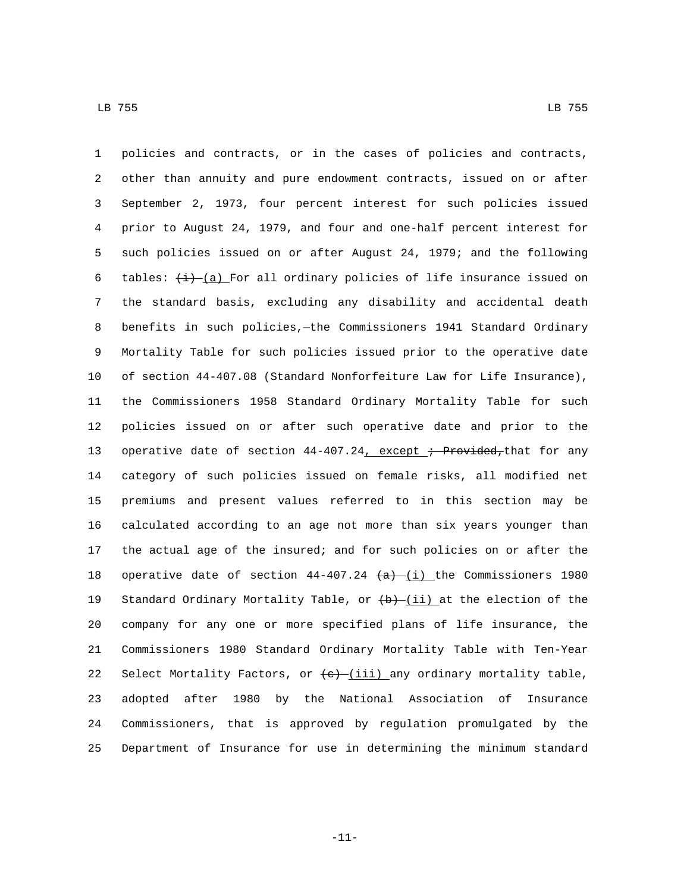policies and contracts, or in the cases of policies and contracts, other than annuity and pure endowment contracts, issued on or after September 2, 1973, four percent interest for such policies issued prior to August 24, 1979, and four and one-half percent interest for such policies issued on or after August 24, 1979; and the following 6 tables:  $\frac{1}{(d)}$   $\frac{1}{(d)}$  For all ordinary policies of life insurance issued on the standard basis, excluding any disability and accidental death benefits in such policies,—the Commissioners 1941 Standard Ordinary Mortality Table for such policies issued prior to the operative date of section 44-407.08 (Standard Nonforfeiture Law for Life Insurance), the Commissioners 1958 Standard Ordinary Mortality Table for such policies issued on or after such operative date and prior to the 13 operative date of section  $44-407.24$ , except ; Provided, that for any category of such policies issued on female risks, all modified net premiums and present values referred to in this section may be calculated according to an age not more than six years younger than the actual age of the insured; and for such policies on or after the 18 operative date of section  $44-407.24$   $(a)$  (i) the Commissioners 1980 19 Standard Ordinary Mortality Table, or  $(b)$ - $(i)$  at the election of the company for any one or more specified plans of life insurance, the Commissioners 1980 Standard Ordinary Mortality Table with Ten-Year 22 Select Mortality Factors, or  $\left(\frac{e}{i} - \frac{i}{i}\right)$  any ordinary mortality table, adopted after 1980 by the National Association of Insurance Commissioners, that is approved by regulation promulgated by the Department of Insurance for use in determining the minimum standard

-11-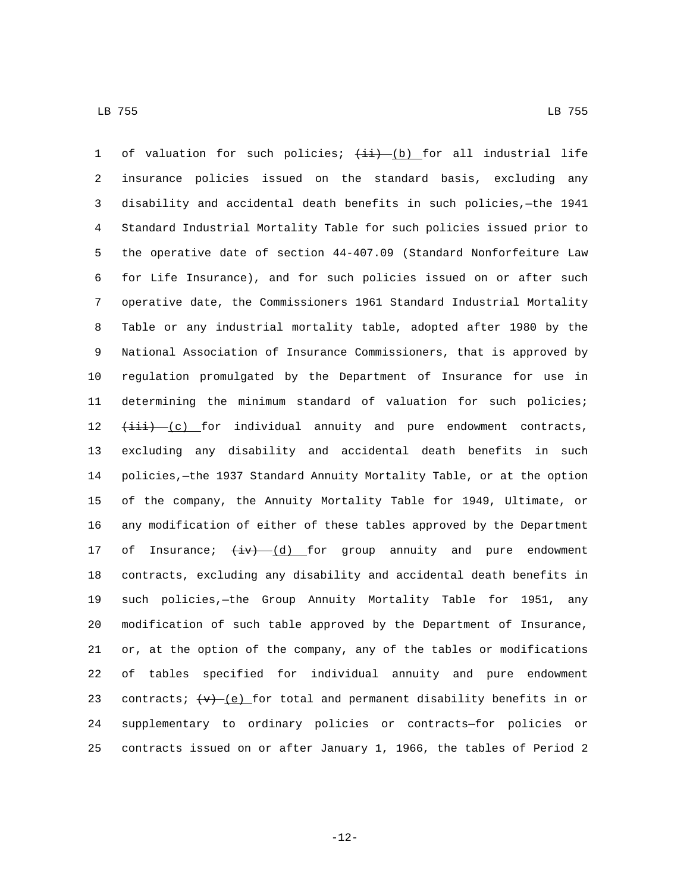1 of valuation for such policies;  $(i\textbf{i}) - (b)$  for all industrial life insurance policies issued on the standard basis, excluding any disability and accidental death benefits in such policies,—the 1941 Standard Industrial Mortality Table for such policies issued prior to the operative date of section 44-407.09 (Standard Nonforfeiture Law for Life Insurance), and for such policies issued on or after such operative date, the Commissioners 1961 Standard Industrial Mortality Table or any industrial mortality table, adopted after 1980 by the National Association of Insurance Commissioners, that is approved by regulation promulgated by the Department of Insurance for use in determining the minimum standard of valuation for such policies;  $12 \leftarrow \leftarrow \leftarrow$  (c) for individual annuity and pure endowment contracts, excluding any disability and accidental death benefits in such policies,—the 1937 Standard Annuity Mortality Table, or at the option of the company, the Annuity Mortality Table for 1949, Ultimate, or any modification of either of these tables approved by the Department 17 of Insurance;  $\frac{1}{x}$   $\frac{1}{y}$  for group annuity and pure endowment contracts, excluding any disability and accidental death benefits in such policies,—the Group Annuity Mortality Table for 1951, any modification of such table approved by the Department of Insurance, or, at the option of the company, any of the tables or modifications of tables specified for individual annuity and pure endowment 23 contracts;  $(w)$  (e) for total and permanent disability benefits in or supplementary to ordinary policies or contracts—for policies or contracts issued on or after January 1, 1966, the tables of Period 2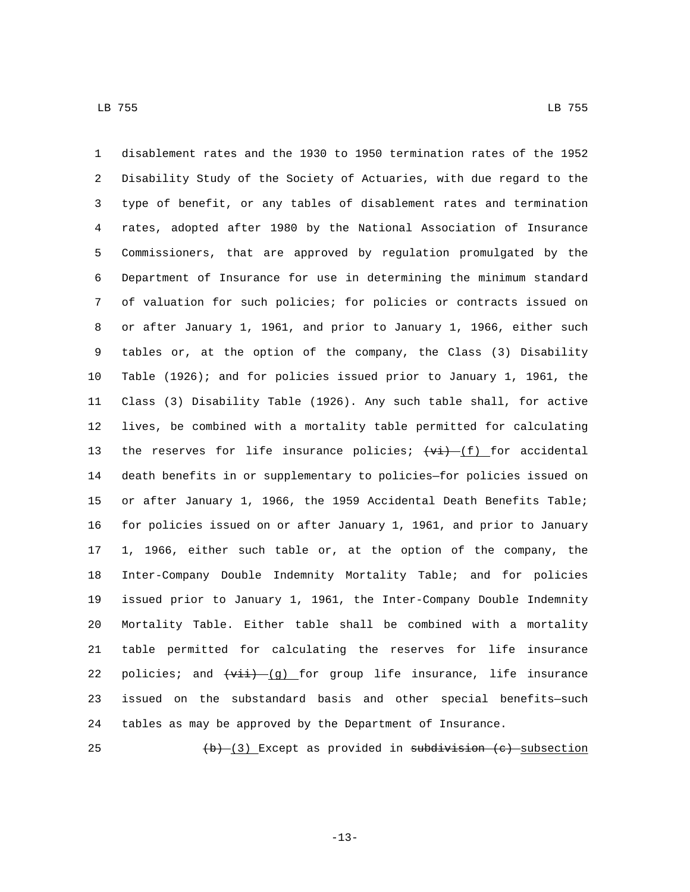disablement rates and the 1930 to 1950 termination rates of the 1952 Disability Study of the Society of Actuaries, with due regard to the type of benefit, or any tables of disablement rates and termination rates, adopted after 1980 by the National Association of Insurance Commissioners, that are approved by regulation promulgated by the Department of Insurance for use in determining the minimum standard of valuation for such policies; for policies or contracts issued on or after January 1, 1961, and prior to January 1, 1966, either such tables or, at the option of the company, the Class (3) Disability Table (1926); and for policies issued prior to January 1, 1961, the Class (3) Disability Table (1926). Any such table shall, for active lives, be combined with a mortality table permitted for calculating 13 the reserves for life insurance policies;  $\overline{(vi) - (f)}$  for accidental death benefits in or supplementary to policies—for policies issued on or after January 1, 1966, the 1959 Accidental Death Benefits Table; for policies issued on or after January 1, 1961, and prior to January 1, 1966, either such table or, at the option of the company, the Inter-Company Double Indemnity Mortality Table; and for policies issued prior to January 1, 1961, the Inter-Company Double Indemnity Mortality Table. Either table shall be combined with a mortality table permitted for calculating the reserves for life insurance 22 policies; and  $\overline{(v_{ii}) - (g)}$  for group life insurance, life insurance issued on the substandard basis and other special benefits—such tables as may be approved by the Department of Insurance.

25  $(b)$   $(3)$  Except as provided in subdivision (c) subsection

-13-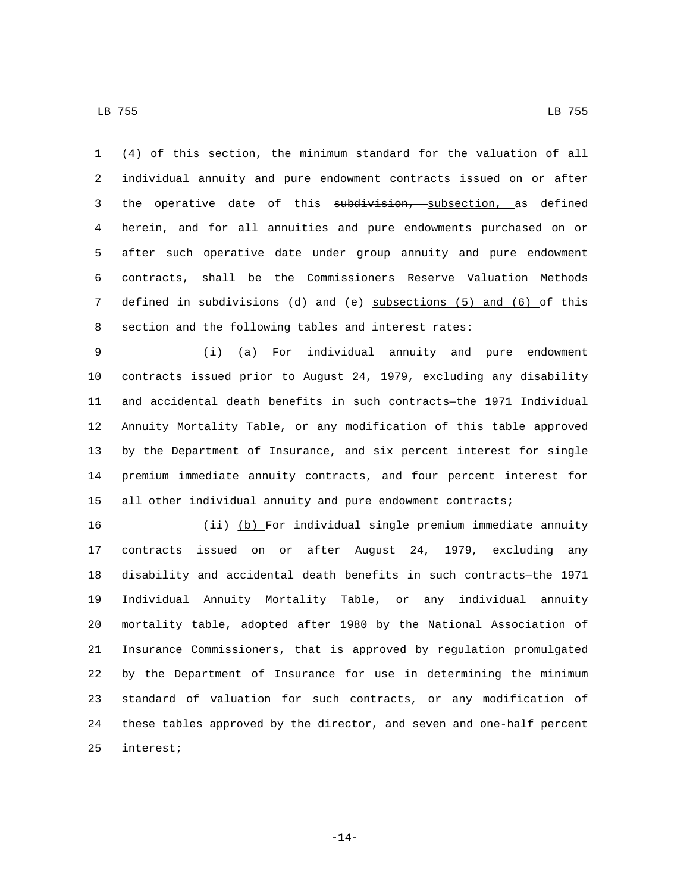LB 755 LB 755

 (4) of this section, the minimum standard for the valuation of all individual annuity and pure endowment contracts issued on or after 3 the operative date of this subdivision, subsection, as defined herein, and for all annuities and pure endowments purchased on or after such operative date under group annuity and pure endowment contracts, shall be the Commissioners Reserve Valuation Methods 7 defined in subdivisions (d) and (e) subsections (5) and (6) of this section and the following tables and interest rates:

9 (i) (a) For individual annuity and pure endowment contracts issued prior to August 24, 1979, excluding any disability and accidental death benefits in such contracts—the 1971 Individual Annuity Mortality Table, or any modification of this table approved by the Department of Insurance, and six percent interest for single premium immediate annuity contracts, and four percent interest for all other individual annuity and pure endowment contracts;

 $\left(\frac{1}{11} - (b)\right)$  For individual single premium immediate annuity contracts issued on or after August 24, 1979, excluding any disability and accidental death benefits in such contracts—the 1971 Individual Annuity Mortality Table, or any individual annuity mortality table, adopted after 1980 by the National Association of Insurance Commissioners, that is approved by regulation promulgated by the Department of Insurance for use in determining the minimum standard of valuation for such contracts, or any modification of these tables approved by the director, and seven and one-half percent 25 interest;

-14-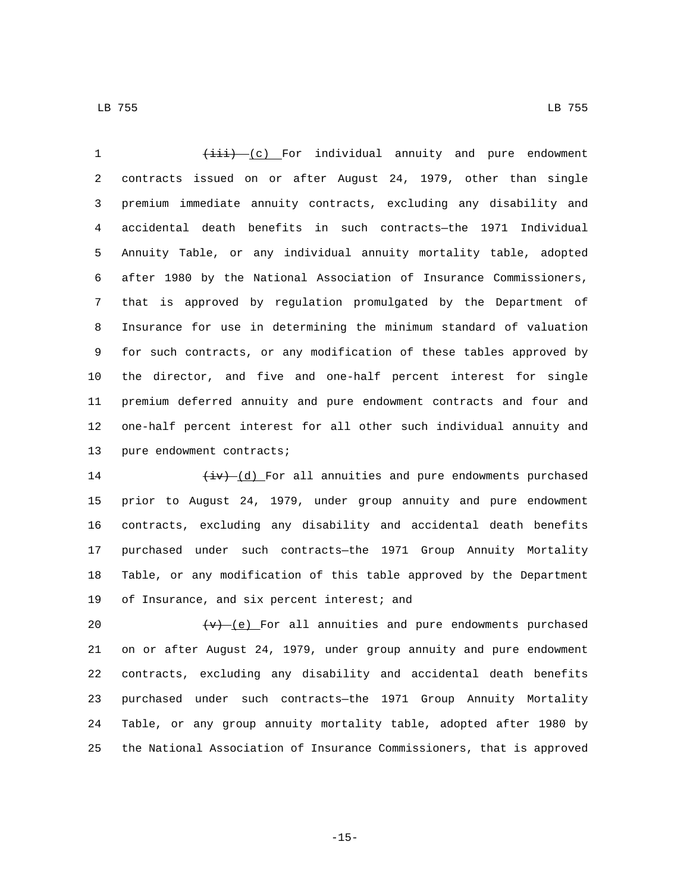1 (iii) (c) For individual annuity and pure endowment contracts issued on or after August 24, 1979, other than single premium immediate annuity contracts, excluding any disability and accidental death benefits in such contracts—the 1971 Individual Annuity Table, or any individual annuity mortality table, adopted after 1980 by the National Association of Insurance Commissioners, that is approved by regulation promulgated by the Department of Insurance for use in determining the minimum standard of valuation for such contracts, or any modification of these tables approved by the director, and five and one-half percent interest for single premium deferred annuity and pure endowment contracts and four and one-half percent interest for all other such individual annuity and 13 pure endowment contracts;

 $\left(\frac{iv}{i}\right)_{i=1}^{d}$  For all annuities and pure endowments purchased prior to August 24, 1979, under group annuity and pure endowment contracts, excluding any disability and accidental death benefits purchased under such contracts—the 1971 Group Annuity Mortality Table, or any modification of this table approved by the Department 19 of Insurance, and six percent interest; and

 $\left\{\mathbf{v}\right\}$  (e) For all annuities and pure endowments purchased on or after August 24, 1979, under group annuity and pure endowment contracts, excluding any disability and accidental death benefits purchased under such contracts—the 1971 Group Annuity Mortality Table, or any group annuity mortality table, adopted after 1980 by the National Association of Insurance Commissioners, that is approved

-15-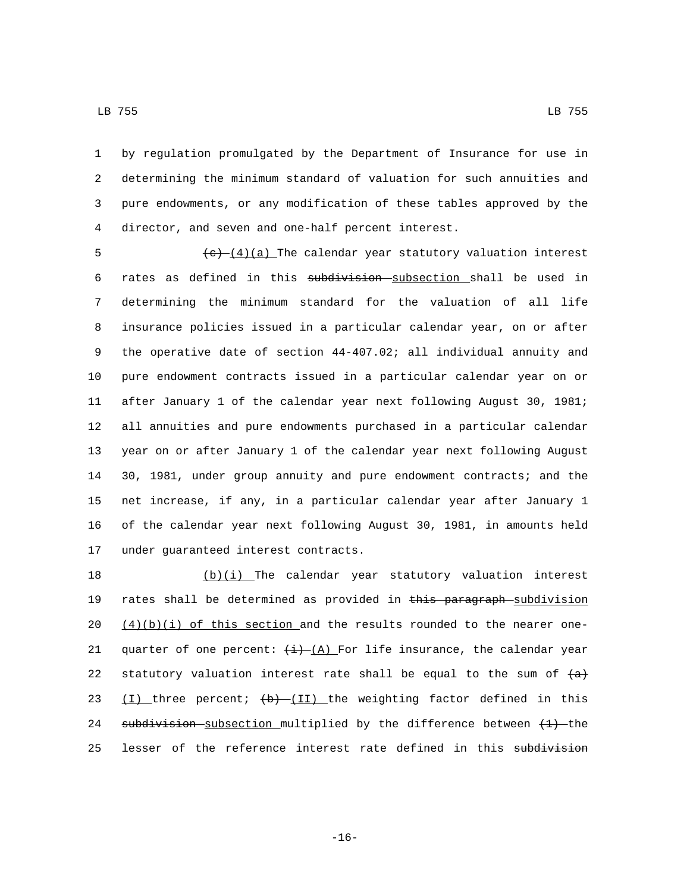LB 755 LB 755

 by regulation promulgated by the Department of Insurance for use in determining the minimum standard of valuation for such annuities and pure endowments, or any modification of these tables approved by the director, and seven and one-half percent interest.4

 $\left(\frac{e}{1/4}\right)$  (a) The calendar year statutory valuation interest rates as defined in this subdivision subsection shall be used in determining the minimum standard for the valuation of all life insurance policies issued in a particular calendar year, on or after the operative date of section 44-407.02; all individual annuity and pure endowment contracts issued in a particular calendar year on or after January 1 of the calendar year next following August 30, 1981; all annuities and pure endowments purchased in a particular calendar year on or after January 1 of the calendar year next following August 30, 1981, under group annuity and pure endowment contracts; and the net increase, if any, in a particular calendar year after January 1 of the calendar year next following August 30, 1981, in amounts held 17 under guaranteed interest contracts.

18  $(b)(i)$  The calendar year statutory valuation interest 19 rates shall be determined as provided in this paragraph subdivision 20  $(4)(b)(i)$  of this section and the results rounded to the nearer one-21 quarter of one percent:  $\frac{1}{1}$   $\frac{1}{1}$  For life insurance, the calendar year 22 statutory valuation interest rate shall be equal to the sum of  $\{a\}$ 23  $(I)$  three percent;  $\left(\frac{b}{1} - I\right)$  the weighting factor defined in this 24 subdivision subsection multiplied by the difference between  $(1)$  the 25 lesser of the reference interest rate defined in this subdivision

-16-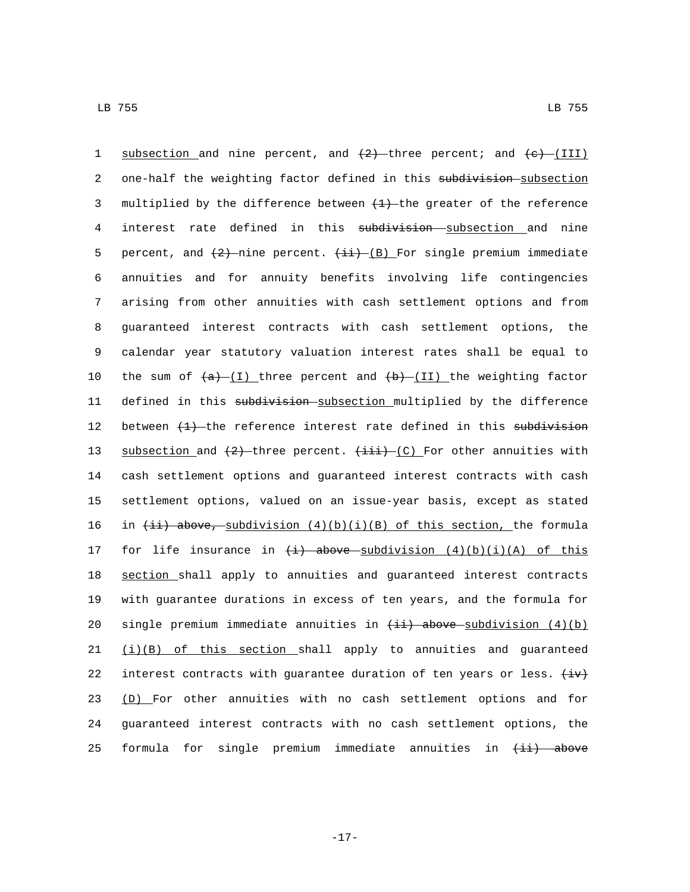1 subsection and nine percent, and  $(2)$  -three percent; and  $(e)$  (III) 2 one-half the weighting factor defined in this subdivision subsection 3 multiplied by the difference between  $(1)$  the greater of the reference 4 interest rate defined in this subdivision subsection and nine 5 percent, and  $\{2\}$ -nine percent.  $\{\pm i\}$ -(B) For single premium immediate 6 annuities and for annuity benefits involving life contingencies 7 arising from other annuities with cash settlement options and from 8 guaranteed interest contracts with cash settlement options, the 9 calendar year statutory valuation interest rates shall be equal to 10 the sum of  $(a)$  (I) three percent and  $(b)$  (II) the weighting factor 11 defined in this subdivision subsection multiplied by the difference 12 between  $\{+\}$  the reference interest rate defined in this subdivision 13 subsection and  $\{2\}$  three percent.  $\{\pm i\}$  (C) For other annuities with 14 cash settlement options and guaranteed interest contracts with cash 15 settlement options, valued on an issue-year basis, except as stated 16 in  $\{\pm i\}$  above, subdivision  $(4)(b)(i)(B)$  of this section, the formula 17 for life insurance in  $\left(\frac{1}{2}\right)$  above subdivision  $\left(\frac{4}{2}\right)\left(\frac{1}{4}\right)$  of this 18 section shall apply to annuities and guaranteed interest contracts 19 with guarantee durations in excess of ten years, and the formula for 20 single premium immediate annuities in  $(i)$  above subdivision  $(4)(b)$ 21  $(i)(B)$  of this section shall apply to annuities and guaranteed 22 interest contracts with guarantee duration of ten years or less.  $\overleftrightarrow{iv}$ 23 (D) For other annuities with no cash settlement options and for 24 guaranteed interest contracts with no cash settlement options, the 25 formula for single premium immediate annuities in  $\overline{\text{+i}}$  above

-17-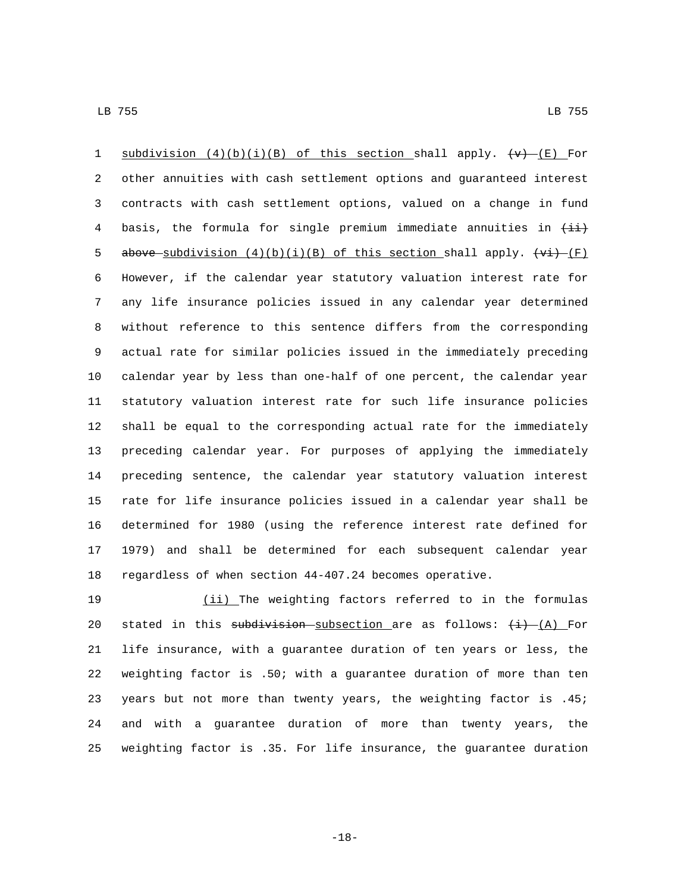1 subdivision  $(4)(b)(i)(B)$  of this section shall apply.  $\{\mathbf{v}\}$  (E) For other annuities with cash settlement options and guaranteed interest contracts with cash settlement options, valued on a change in fund 4 basis, the formula for single premium immediate annuities in  $\overrightarrow{++}$ 5 above subdivision  $(4)(b)(i)(B)$  of this section shall apply.  $\overline{(F)}$  However, if the calendar year statutory valuation interest rate for any life insurance policies issued in any calendar year determined without reference to this sentence differs from the corresponding actual rate for similar policies issued in the immediately preceding calendar year by less than one-half of one percent, the calendar year statutory valuation interest rate for such life insurance policies shall be equal to the corresponding actual rate for the immediately preceding calendar year. For purposes of applying the immediately preceding sentence, the calendar year statutory valuation interest rate for life insurance policies issued in a calendar year shall be determined for 1980 (using the reference interest rate defined for 1979) and shall be determined for each subsequent calendar year regardless of when section 44-407.24 becomes operative.

 (ii) The weighting factors referred to in the formulas 20 stated in this subdivision subsection are as follows:  $(i)$  (A) For life insurance, with a guarantee duration of ten years or less, the weighting factor is .50; with a guarantee duration of more than ten years but not more than twenty years, the weighting factor is .45; and with a guarantee duration of more than twenty years, the weighting factor is .35. For life insurance, the guarantee duration

-18-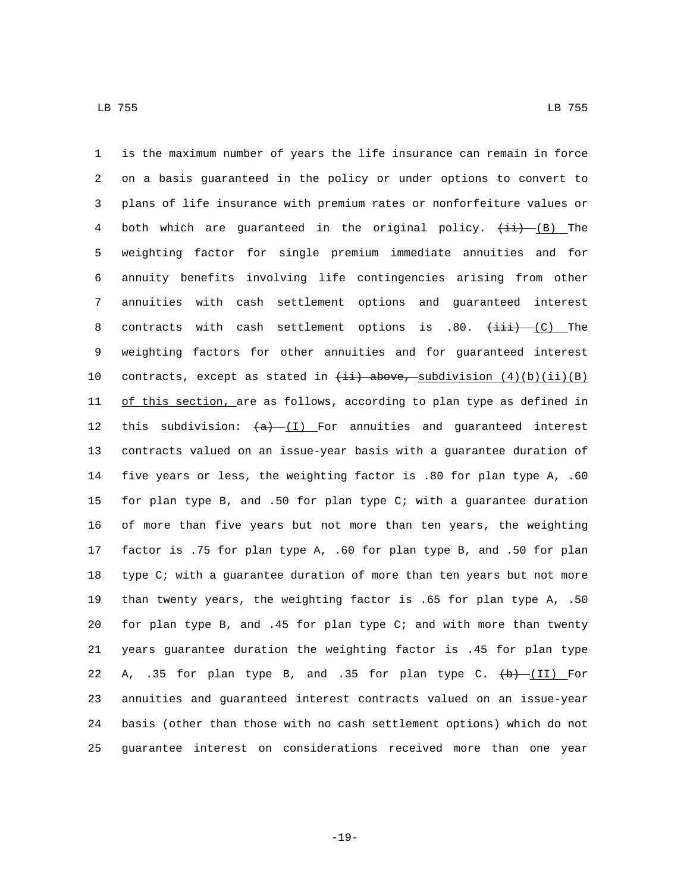is the maximum number of years the life insurance can remain in force on a basis guaranteed in the policy or under options to convert to plans of life insurance with premium rates or nonforfeiture values or 4 both which are guaranteed in the original policy.  $(\pm i)$  (B) The weighting factor for single premium immediate annuities and for annuity benefits involving life contingencies arising from other annuities with cash settlement options and guaranteed interest 8 contracts with cash settlement options is .80.  $\overrightarrow{+i}$  (C) The weighting factors for other annuities and for guaranteed interest 10 contracts, except as stated in  $\overline{\text{+i}}$  above, subdivision  $(4)(b)(ii)(B)$ 11 of this section, are as follows, according to plan type as defined in 12 this subdivision:  $(a)$  (I) For annuities and guaranteed interest contracts valued on an issue-year basis with a guarantee duration of five years or less, the weighting factor is .80 for plan type A, .60 for plan type B, and .50 for plan type C; with a guarantee duration of more than five years but not more than ten years, the weighting factor is .75 for plan type A, .60 for plan type B, and .50 for plan type C; with a guarantee duration of more than ten years but not more than twenty years, the weighting factor is .65 for plan type A, .50 for plan type B, and .45 for plan type C; and with more than twenty years guarantee duration the weighting factor is .45 for plan type 22 A, .35 for plan type B, and .35 for plan type C.  $\left(\frac{b}{b}\right)$  (II) For annuities and guaranteed interest contracts valued on an issue-year basis (other than those with no cash settlement options) which do not guarantee interest on considerations received more than one year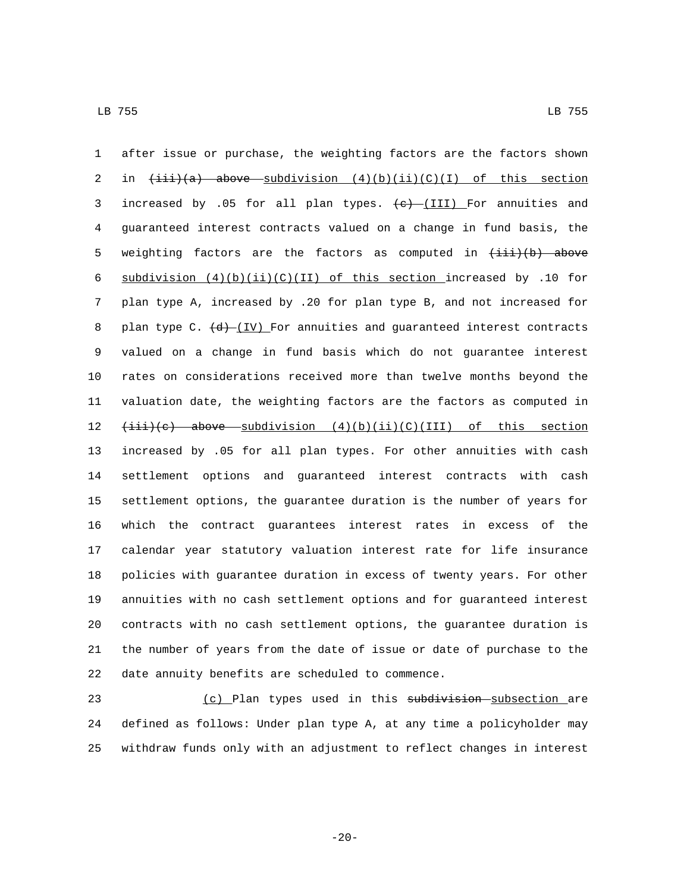after issue or purchase, the weighting factors are the factors shown 2 in  $\{\pm i\}$  (a) above subdivision  $(4)(b)(ii)(C)(I)$  of this section 3 increased by .05 for all plan types.  $\leftarrow$  (III) For annuities and guaranteed interest contracts valued on a change in fund basis, the 5 weighting factors are the factors as computed in  $\{\pm i\}$  (b) above 6 subdivision  $(4)(b)(ii)(C)(II)$  of this section increased by .10 for plan type A, increased by .20 for plan type B, and not increased for 8 plan type C.  $\left(\frac{d}{d}\right)$  [IV] For annuities and guaranteed interest contracts valued on a change in fund basis which do not guarantee interest rates on considerations received more than twelve months beyond the valuation date, the weighting factors are the factors as computed in  $(iii)(e)$  above subdivision  $(4)(b)(ii)(C)(III)$  of this section increased by .05 for all plan types. For other annuities with cash settlement options and guaranteed interest contracts with cash settlement options, the guarantee duration is the number of years for which the contract guarantees interest rates in excess of the calendar year statutory valuation interest rate for life insurance policies with guarantee duration in excess of twenty years. For other annuities with no cash settlement options and for guaranteed interest contracts with no cash settlement options, the guarantee duration is the number of years from the date of issue or date of purchase to the 22 date annuity benefits are scheduled to commence.

23 (c) Plan types used in this subdivision subsection are defined as follows: Under plan type A, at any time a policyholder may withdraw funds only with an adjustment to reflect changes in interest

-20-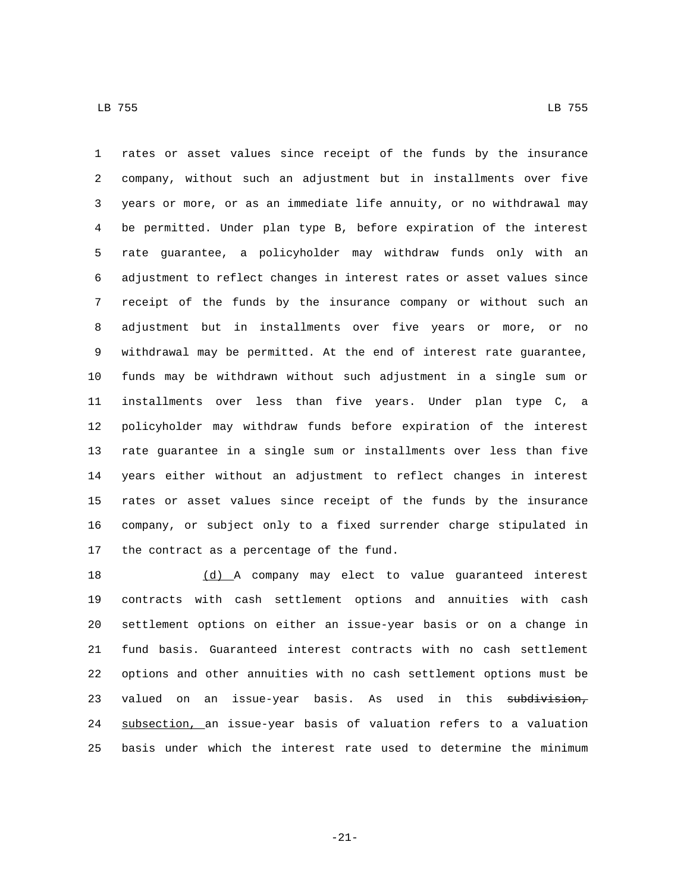rates or asset values since receipt of the funds by the insurance company, without such an adjustment but in installments over five years or more, or as an immediate life annuity, or no withdrawal may be permitted. Under plan type B, before expiration of the interest rate guarantee, a policyholder may withdraw funds only with an adjustment to reflect changes in interest rates or asset values since receipt of the funds by the insurance company or without such an adjustment but in installments over five years or more, or no withdrawal may be permitted. At the end of interest rate guarantee, funds may be withdrawn without such adjustment in a single sum or installments over less than five years. Under plan type C, a policyholder may withdraw funds before expiration of the interest rate guarantee in a single sum or installments over less than five years either without an adjustment to reflect changes in interest rates or asset values since receipt of the funds by the insurance company, or subject only to a fixed surrender charge stipulated in 17 the contract as a percentage of the fund.

 (d) A company may elect to value guaranteed interest contracts with cash settlement options and annuities with cash settlement options on either an issue-year basis or on a change in fund basis. Guaranteed interest contracts with no cash settlement options and other annuities with no cash settlement options must be 23 valued on an issue-year basis. As used in this subdivision, subsection, an issue-year basis of valuation refers to a valuation basis under which the interest rate used to determine the minimum

-21-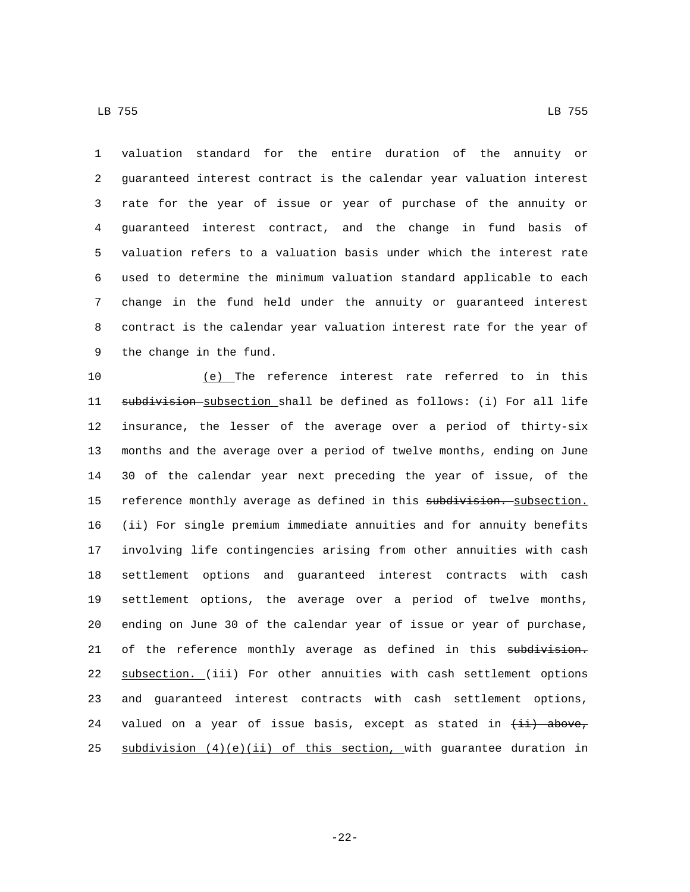LB 755 LB 755

 valuation standard for the entire duration of the annuity or guaranteed interest contract is the calendar year valuation interest rate for the year of issue or year of purchase of the annuity or guaranteed interest contract, and the change in fund basis of valuation refers to a valuation basis under which the interest rate used to determine the minimum valuation standard applicable to each change in the fund held under the annuity or guaranteed interest contract is the calendar year valuation interest rate for the year of 9 the change in the fund.

 (e) The reference interest rate referred to in this 11 subdivision subsection shall be defined as follows: (i) For all life insurance, the lesser of the average over a period of thirty-six months and the average over a period of twelve months, ending on June 30 of the calendar year next preceding the year of issue, of the 15 reference monthly average as defined in this subdivision. subsection. (ii) For single premium immediate annuities and for annuity benefits involving life contingencies arising from other annuities with cash settlement options and guaranteed interest contracts with cash settlement options, the average over a period of twelve months, ending on June 30 of the calendar year of issue or year of purchase, 21 of the reference monthly average as defined in this subdivision. subsection. (iii) For other annuities with cash settlement options and guaranteed interest contracts with cash settlement options, 24 valued on a year of issue basis, except as stated in  $(i)$  above, 25 subdivision  $(4)(e)(ii)$  of this section, with guarantee duration in

-22-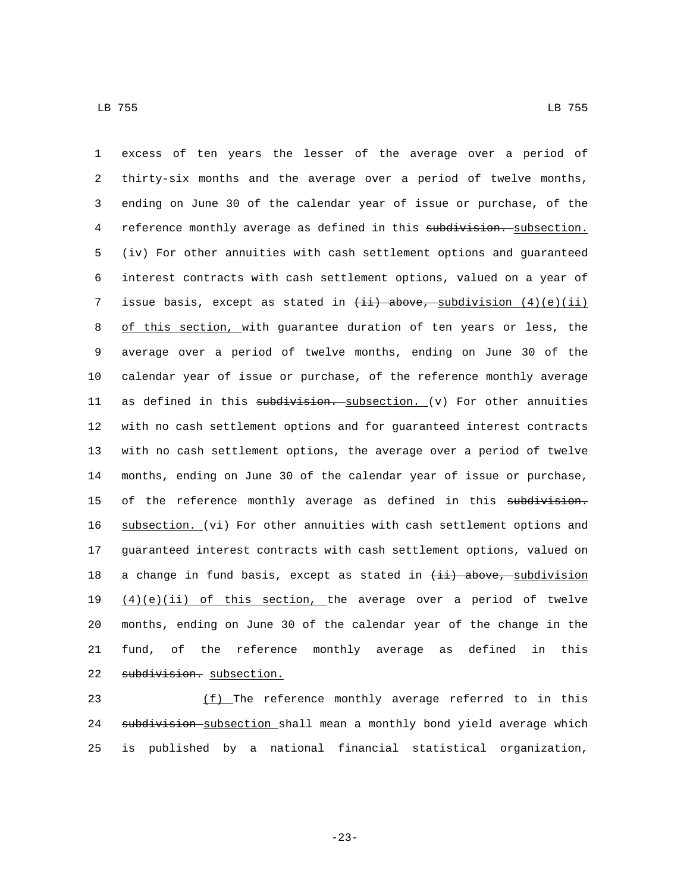LB 755 LB 755

 excess of ten years the lesser of the average over a period of thirty-six months and the average over a period of twelve months, ending on June 30 of the calendar year of issue or purchase, of the 4 reference monthly average as defined in this subdivision. subsection. (iv) For other annuities with cash settlement options and guaranteed interest contracts with cash settlement options, valued on a year of 7 issue basis, except as stated in  $\frac{1}{i}$  above, subdivision  $(4)(e)(ii)$ 8 of this section, with guarantee duration of ten years or less, the average over a period of twelve months, ending on June 30 of the calendar year of issue or purchase, of the reference monthly average 11 as defined in this  $subdivision.$  subsection. (v) For other annuities with no cash settlement options and for guaranteed interest contracts with no cash settlement options, the average over a period of twelve months, ending on June 30 of the calendar year of issue or purchase, 15 of the reference monthly average as defined in this subdivision. subsection. (vi) For other annuities with cash settlement options and guaranteed interest contracts with cash settlement options, valued on 18 a change in fund basis, except as stated in  $\{\pm i\}$  above, subdivision  $(4)(e)(ii)$  of this section, the average over a period of twelve months, ending on June 30 of the calendar year of the change in the fund, of the reference monthly average as defined in this 22 subdivision. subsection.

23 (f) The reference monthly average referred to in this 24 subdivision subsection shall mean a monthly bond yield average which 25 is published by a national financial statistical organization,

-23-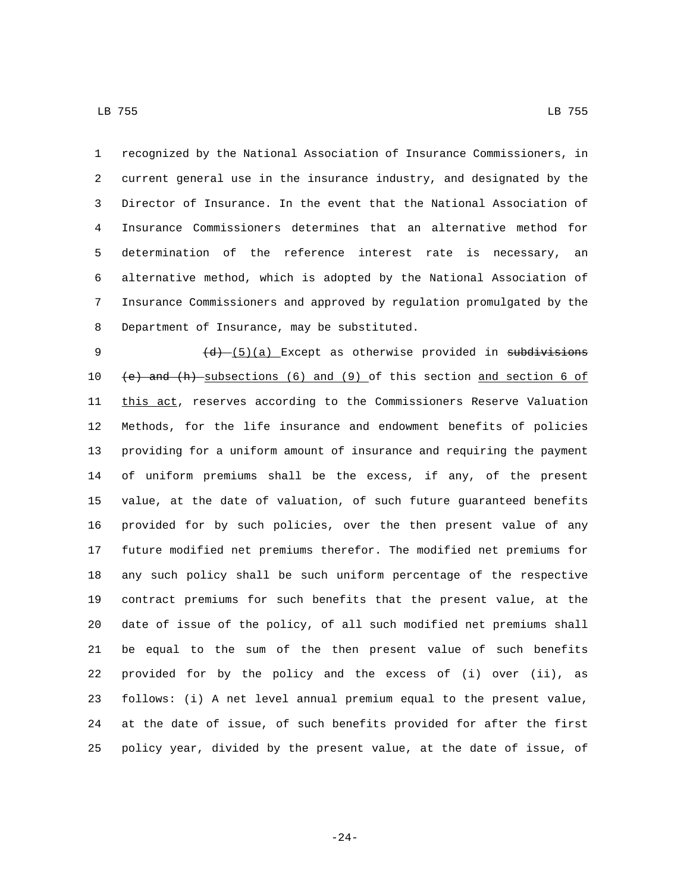recognized by the National Association of Insurance Commissioners, in current general use in the insurance industry, and designated by the Director of Insurance. In the event that the National Association of Insurance Commissioners determines that an alternative method for determination of the reference interest rate is necessary, an alternative method, which is adopted by the National Association of Insurance Commissioners and approved by regulation promulgated by the 8 Department of Insurance, may be substituted.

9 (d) (5)(a) Except as otherwise provided in subdivisions  $(e)$  and  $(h)$ -subsections (6) and (9) of this section and section 6 of 11 this act, reserves according to the Commissioners Reserve Valuation Methods, for the life insurance and endowment benefits of policies providing for a uniform amount of insurance and requiring the payment of uniform premiums shall be the excess, if any, of the present value, at the date of valuation, of such future guaranteed benefits provided for by such policies, over the then present value of any future modified net premiums therefor. The modified net premiums for any such policy shall be such uniform percentage of the respective contract premiums for such benefits that the present value, at the date of issue of the policy, of all such modified net premiums shall be equal to the sum of the then present value of such benefits provided for by the policy and the excess of (i) over (ii), as follows: (i) A net level annual premium equal to the present value, at the date of issue, of such benefits provided for after the first policy year, divided by the present value, at the date of issue, of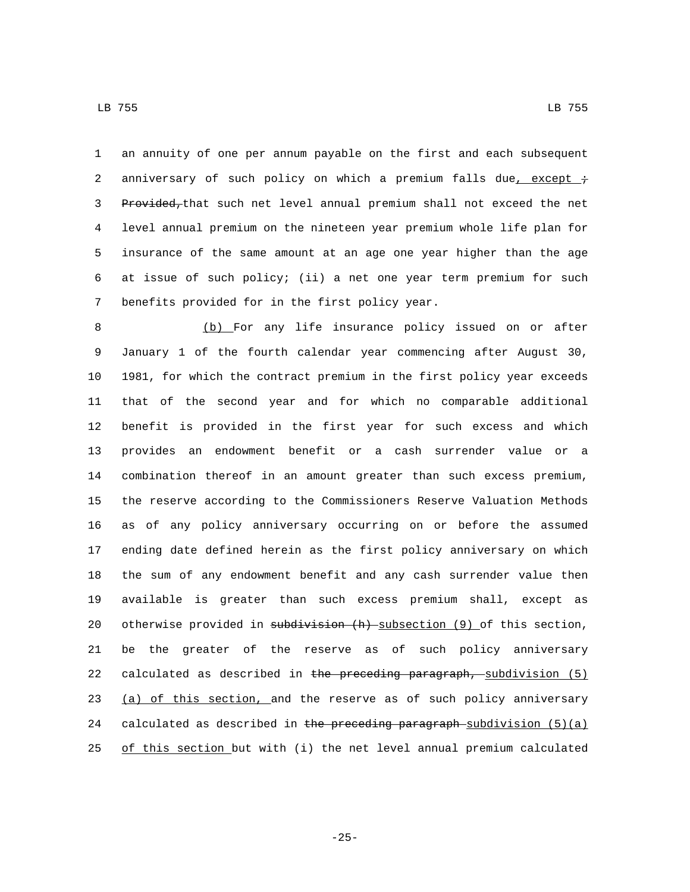LB 755 LB 755

 an annuity of one per annum payable on the first and each subsequent 2 anniversary of such policy on which a premium falls due, except  $\div$ 3 Provided, that such net level annual premium shall not exceed the net level annual premium on the nineteen year premium whole life plan for insurance of the same amount at an age one year higher than the age at issue of such policy; (ii) a net one year term premium for such 7 benefits provided for in the first policy year.

8 (b) For any life insurance policy issued on or after January 1 of the fourth calendar year commencing after August 30, 1981, for which the contract premium in the first policy year exceeds that of the second year and for which no comparable additional benefit is provided in the first year for such excess and which provides an endowment benefit or a cash surrender value or a combination thereof in an amount greater than such excess premium, the reserve according to the Commissioners Reserve Valuation Methods as of any policy anniversary occurring on or before the assumed ending date defined herein as the first policy anniversary on which the sum of any endowment benefit and any cash surrender value then available is greater than such excess premium shall, except as 20 otherwise provided in subdivision (h) subsection (9) of this section, be the greater of the reserve as of such policy anniversary 22 calculated as described in the preceding paragraph, subdivision (5) 23 (a) of this section, and the reserve as of such policy anniversary 24 calculated as described in the preceding paragraph-subdivision  $(5)(a)$ of this section but with (i) the net level annual premium calculated

-25-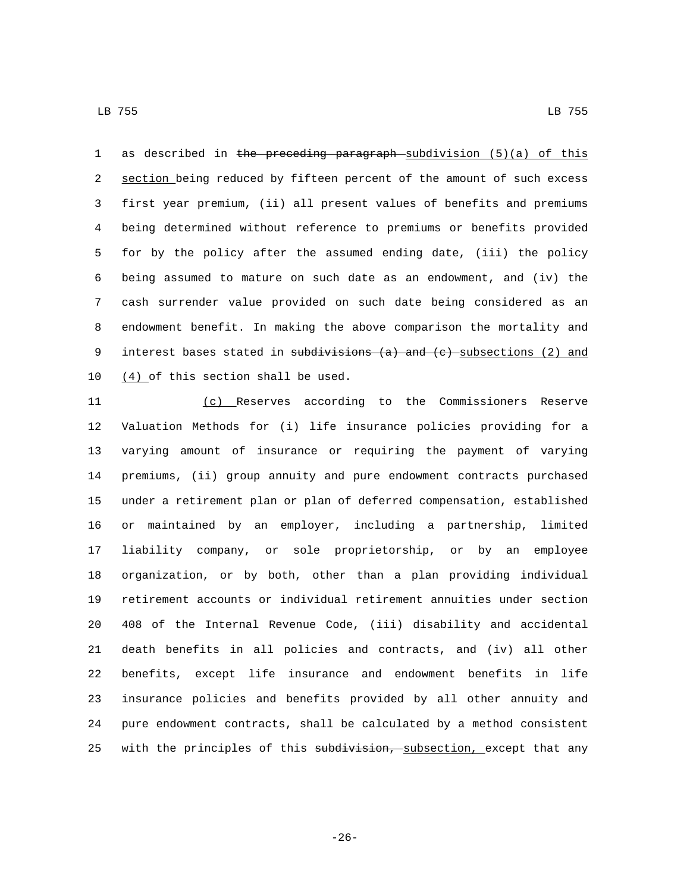1 as described in the preceding paragraph subdivision (5)(a) of this 2 section being reduced by fifteen percent of the amount of such excess first year premium, (ii) all present values of benefits and premiums being determined without reference to premiums or benefits provided for by the policy after the assumed ending date, (iii) the policy being assumed to mature on such date as an endowment, and (iv) the cash surrender value provided on such date being considered as an endowment benefit. In making the above comparison the mortality and 9 interest bases stated in subdivisions (a) and (c) subsections (2) and  $(4)$  of this section shall be used.

 (c) Reserves according to the Commissioners Reserve Valuation Methods for (i) life insurance policies providing for a varying amount of insurance or requiring the payment of varying premiums, (ii) group annuity and pure endowment contracts purchased under a retirement plan or plan of deferred compensation, established or maintained by an employer, including a partnership, limited liability company, or sole proprietorship, or by an employee organization, or by both, other than a plan providing individual retirement accounts or individual retirement annuities under section 408 of the Internal Revenue Code, (iii) disability and accidental death benefits in all policies and contracts, and (iv) all other benefits, except life insurance and endowment benefits in life insurance policies and benefits provided by all other annuity and pure endowment contracts, shall be calculated by a method consistent 25 with the principles of this subdivision, subsection, except that any

-26-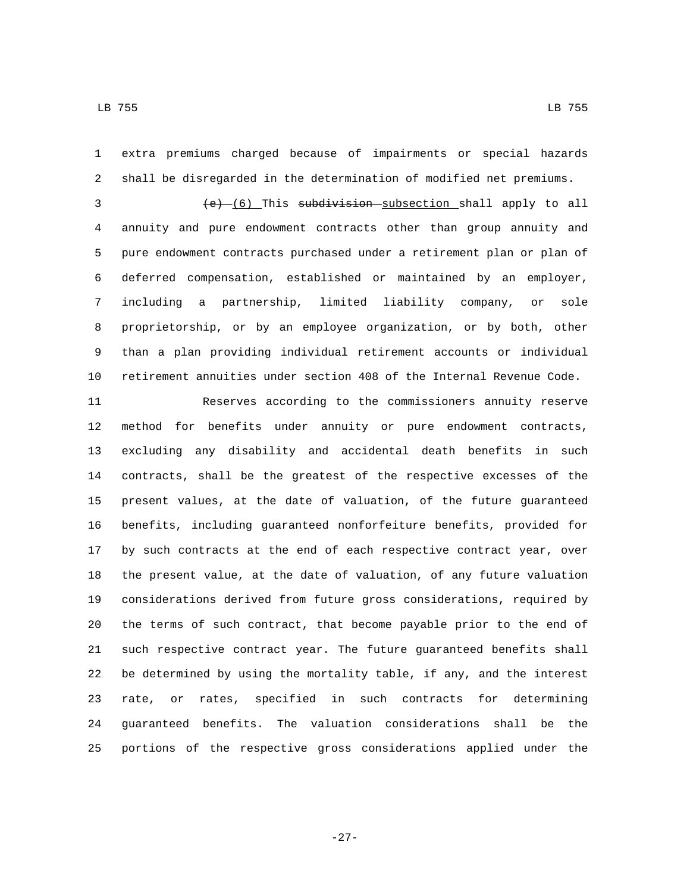extra premiums charged because of impairments or special hazards shall be disregarded in the determination of modified net premiums.

3 (e) (6) This subdivision subsection shall apply to all annuity and pure endowment contracts other than group annuity and pure endowment contracts purchased under a retirement plan or plan of deferred compensation, established or maintained by an employer, including a partnership, limited liability company, or sole proprietorship, or by an employee organization, or by both, other than a plan providing individual retirement accounts or individual retirement annuities under section 408 of the Internal Revenue Code.

 Reserves according to the commissioners annuity reserve method for benefits under annuity or pure endowment contracts, excluding any disability and accidental death benefits in such contracts, shall be the greatest of the respective excesses of the present values, at the date of valuation, of the future guaranteed benefits, including guaranteed nonforfeiture benefits, provided for by such contracts at the end of each respective contract year, over the present value, at the date of valuation, of any future valuation considerations derived from future gross considerations, required by the terms of such contract, that become payable prior to the end of such respective contract year. The future guaranteed benefits shall be determined by using the mortality table, if any, and the interest rate, or rates, specified in such contracts for determining guaranteed benefits. The valuation considerations shall be the portions of the respective gross considerations applied under the

-27-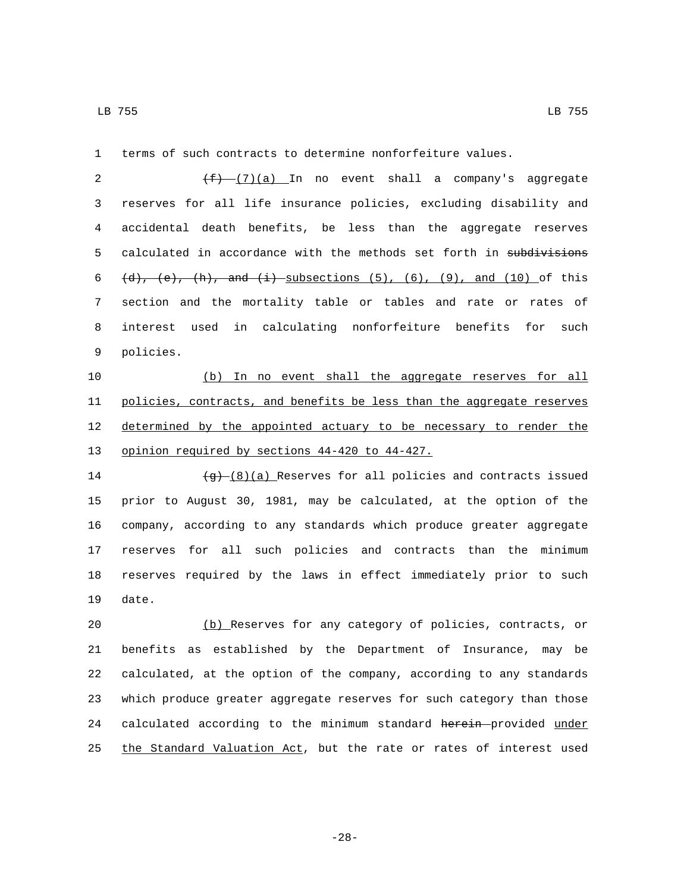1 terms of such contracts to determine nonforfeiture values.

 $(f)$   $(f)$   $(7)(a)$  In no event shall a company's aggregate reserves for all life insurance policies, excluding disability and accidental death benefits, be less than the aggregate reserves 5 calculated in accordance with the methods set forth in subdivisions  $(d)$ ,  $(e)$ ,  $(h)$ , and  $(i)$  subsections  $(5)$ ,  $(6)$ ,  $(9)$ , and  $(10)$  of this section and the mortality table or tables and rate or rates of interest used in calculating nonforfeiture benefits for such 9 policies.

10 (b) In no event shall the aggregate reserves for all 11 policies, contracts, and benefits be less than the aggregate reserves 12 determined by the appointed actuary to be necessary to render the 13 opinion required by sections 44-420 to 44-427.

 $\frac{1}{9}$  (8)(a) Reserves for all policies and contracts issued prior to August 30, 1981, may be calculated, at the option of the company, according to any standards which produce greater aggregate reserves for all such policies and contracts than the minimum reserves required by the laws in effect immediately prior to such 19 date.

 (b) Reserves for any category of policies, contracts, or benefits as established by the Department of Insurance, may be calculated, at the option of the company, according to any standards which produce greater aggregate reserves for such category than those 24 calculated according to the minimum standard herein provided under 25 the Standard Valuation Act, but the rate or rates of interest used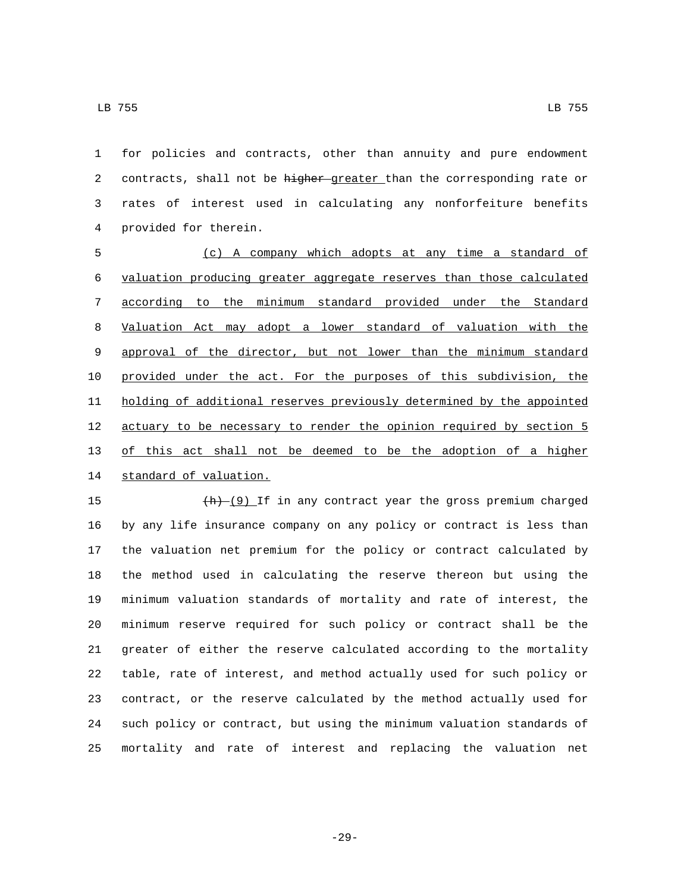for policies and contracts, other than annuity and pure endowment 2 contracts, shall not be higher greater than the corresponding rate or rates of interest used in calculating any nonforfeiture benefits provided for therein.4

 (c) A company which adopts at any time a standard of valuation producing greater aggregate reserves than those calculated according to the minimum standard provided under the Standard Valuation Act may adopt a lower standard of valuation with the approval of the director, but not lower than the minimum standard provided under the act. For the purposes of this subdivision, the holding of additional reserves previously determined by the appointed actuary to be necessary to render the opinion required by section 5 of this act shall not be deemed to be the adoption of a higher 14 standard of valuation.

 $\frac{(h) - (9)}{h}$  If in any contract year the gross premium charged by any life insurance company on any policy or contract is less than the valuation net premium for the policy or contract calculated by the method used in calculating the reserve thereon but using the minimum valuation standards of mortality and rate of interest, the minimum reserve required for such policy or contract shall be the greater of either the reserve calculated according to the mortality table, rate of interest, and method actually used for such policy or contract, or the reserve calculated by the method actually used for such policy or contract, but using the minimum valuation standards of mortality and rate of interest and replacing the valuation net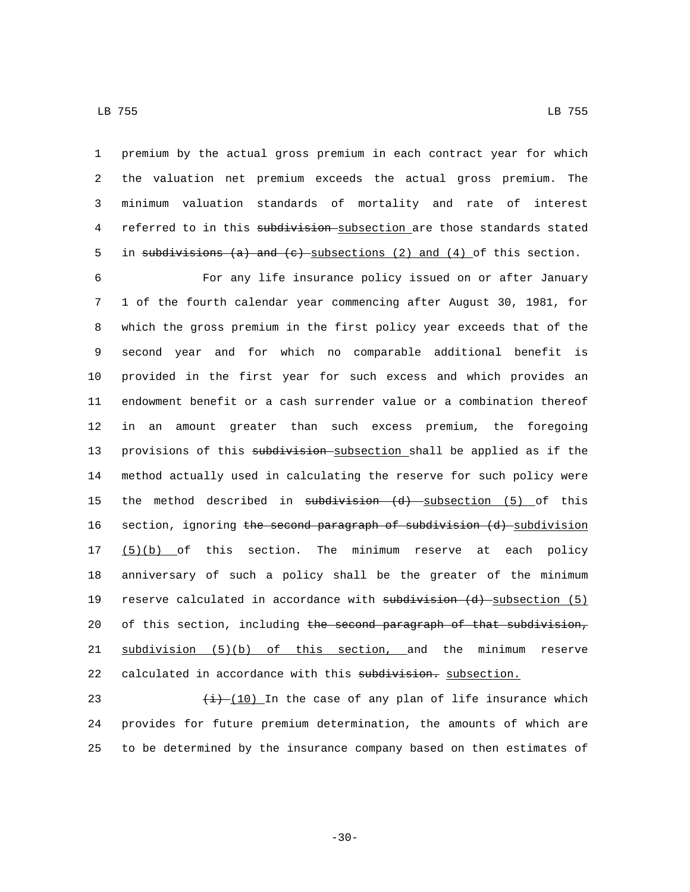LB 755 LB 755

1 premium by the actual gross premium in each contract year for which 2 the valuation net premium exceeds the actual gross premium. The 3 minimum valuation standards of mortality and rate of interest 4 referred to in this subdivision subsection are those standards stated 5 in subdivisions (a) and (c) subsections (2) and (4) of this section.

6 For any life insurance policy issued on or after January 7 1 of the fourth calendar year commencing after August 30, 1981, for 8 which the gross premium in the first policy year exceeds that of the 9 second year and for which no comparable additional benefit is 10 provided in the first year for such excess and which provides an 11 endowment benefit or a cash surrender value or a combination thereof 12 in an amount greater than such excess premium, the foregoing 13 provisions of this subdivision subsection shall be applied as if the 14 method actually used in calculating the reserve for such policy were 15 the method described in subdivision (d) subsection (5) of this 16 section, ignoring the second paragraph of subdivision (d) subdivision 17 (5)(b) of this section. The minimum reserve at each policy 18 anniversary of such a policy shall be the greater of the minimum 19 reserve calculated in accordance with subdivision (d) subsection (5) 20 of this section, including the second paragraph of that subdivision, 21 subdivision (5)(b) of this section, and the minimum reserve 22 calculated in accordance with this subdivision. subsection.

23  $\left(\frac{1}{2}\right)$  (10) In the case of any plan of life insurance which 24 provides for future premium determination, the amounts of which are 25 to be determined by the insurance company based on then estimates of

-30-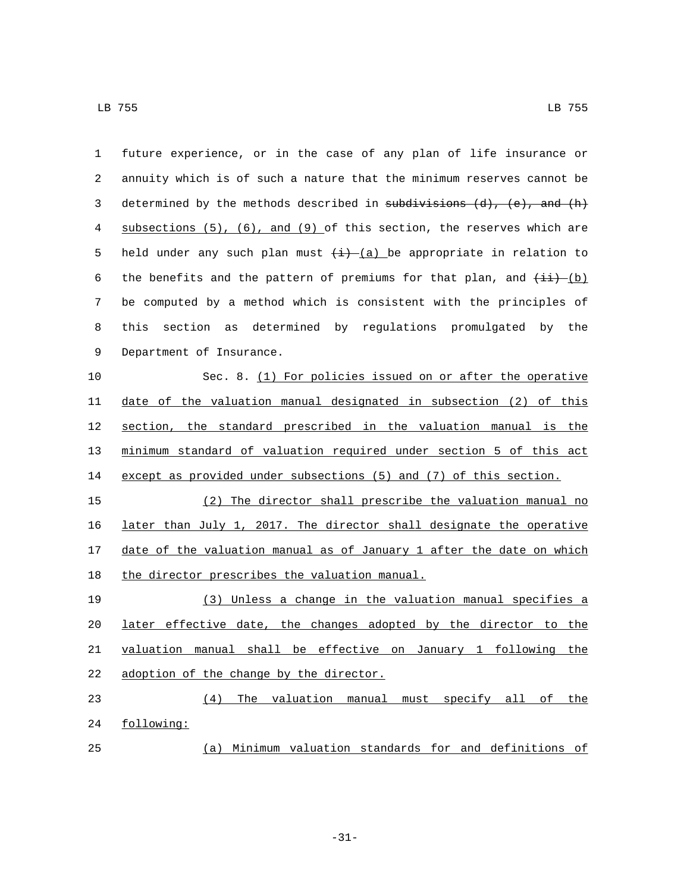| 1  | future experience, or in the case of any plan of life insurance or              |
|----|---------------------------------------------------------------------------------|
| 2  | annuity which is of such a nature that the minimum reserves cannot be           |
| 3  | determined by the methods described in subdivisions $(d)$ , $(e)$ , and $(h)$   |
| 4  | subsections $(5)$ , $(6)$ , and $(9)$ of this section, the reserves which are   |
| 5  | held under any such plan must $(i)$ (a) be appropriate in relation to           |
| 6  | the benefits and the pattern of premiums for that plan, and $(i\textbf{i})$ (b) |
| 7  | be computed by a method which is consistent with the principles of              |
| 8  | section<br>determined by regulations promulgated by the<br>this<br>as           |
| 9  | Department of Insurance.                                                        |
| 10 | Sec. 8. (1) For policies issued on or after the operative                       |
| 11 | date of the valuation manual designated in subsection (2) of this               |
| 12 | section, the standard prescribed in the valuation manual is the                 |
| 13 | minimum standard of valuation required under section 5 of this act              |
| 14 | except as provided under subsections (5) and (7) of this section.               |
| 15 | (2) The director shall prescribe the valuation manual no                        |
| 16 | later than July 1, 2017. The director shall designate the operative             |
| 17 | date of the valuation manual as of January 1 after the date on which            |
| 18 | the director prescribes the valuation manual.                                   |
| 19 | (3) Unless a change in the valuation manual specifies a                         |
| 20 | later effective date, the changes adopted by the director to the                |
| 21 | valuation manual shall be effective on January 1 following the                  |
| 22 | adoption of the change by the director.                                         |
| 23 | The valuation manual must specify all of the<br>(4)                             |
| 24 | following:                                                                      |
| 25 | (a) Minimum valuation standards for and definitions of                          |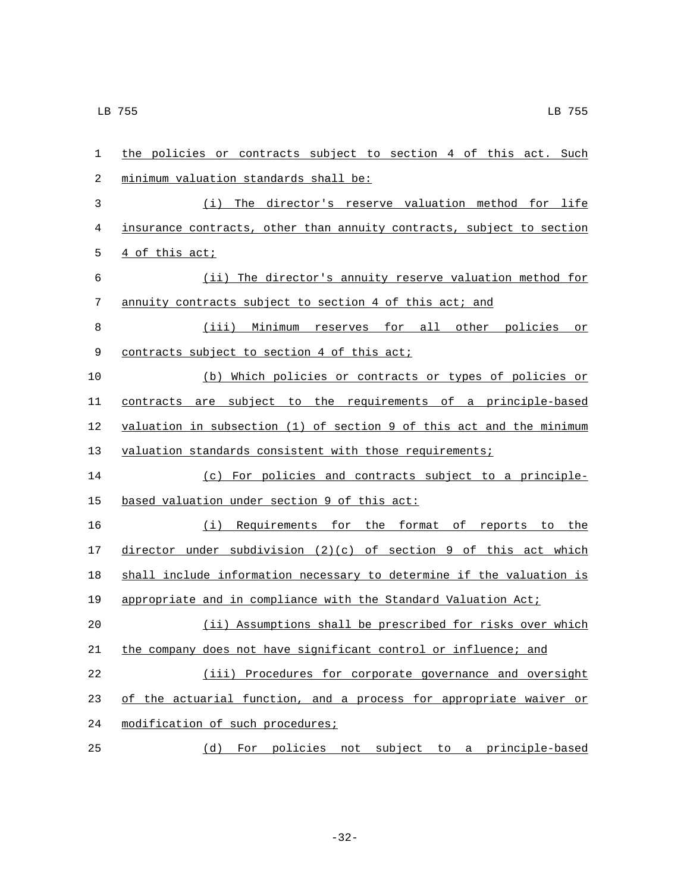| 1  | the policies or contracts subject to section 4 of this act. Such      |
|----|-----------------------------------------------------------------------|
| 2  | minimum valuation standards shall be:                                 |
| 3  | (i) The director's reserve valuation method for life                  |
| 4  | insurance contracts, other than annuity contracts, subject to section |
| 5  | 4 of this act;                                                        |
| 6  | (ii) The director's annuity reserve valuation method for              |
| 7  | annuity contracts subject to section 4 of this act; and               |
| 8  | (iii) Minimum reserves for all other policies<br>or                   |
| 9  | contracts subject to section 4 of this act;                           |
| 10 | (b) Which policies or contracts or types of policies or               |
| 11 | contracts are subject to the requirements of a principle-based        |
| 12 | valuation in subsection (1) of section 9 of this act and the minimum  |
| 13 | valuation standards consistent with those requirements;               |
| 14 | (c) For policies and contracts subject to a principle-                |
| 15 | based valuation under section 9 of this act:                          |
| 16 | (i) Requirements for the format of reports to the                     |
| 17 | director under subdivision $(2)(c)$ of section 9 of this act which    |
| 18 | shall include information necessary to determine if the valuation is  |
| 19 | appropriate and in compliance with the Standard Valuation Act;        |
| 20 | (ii) Assumptions shall be prescribed for risks over which             |
| 21 | the company does not have significant control or influence; and       |
| 22 | (iii) Procedures for corporate governance and oversight               |
| 23 | of the actuarial function, and a process for appropriate waiver or    |
| 24 | modification of such procedures;                                      |
| 25 | (d) For policies not subject to a principle-based                     |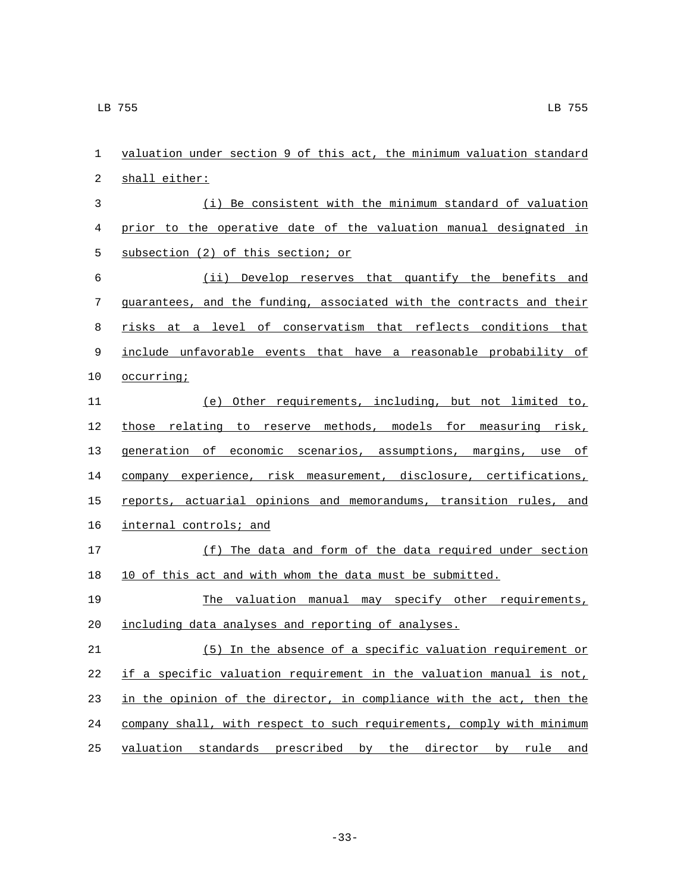| 1  | valuation under section 9 of this act, the minimum valuation standard |
|----|-----------------------------------------------------------------------|
| 2  | shall either:                                                         |
| 3  | (i) Be consistent with the minimum standard of valuation              |
| 4  | prior to the operative date of the valuation manual designated in     |
| 5  | subsection (2) of this section; or                                    |
| 6  | (ii) Develop reserves that quantify the benefits and                  |
| 7  | guarantees, and the funding, associated with the contracts and their  |
| 8  | risks at a level of conservatism that reflects conditions that        |
| 9  | include unfavorable events that have a reasonable probability of      |
| 10 | occurring;                                                            |
| 11 | (e) Other requirements, including, but not limited to,                |
| 12 | those relating to reserve methods, models for measuring risk,         |
| 13 | generation of economic scenarios, assumptions, margins, use of        |
| 14 | company experience, risk measurement, disclosure, certifications,     |
| 15 | reports, actuarial opinions and memorandums, transition rules, and    |
| 16 | internal controls; and                                                |
| 17 | (f) The data and form of the data required under section              |
| 18 | 10 of this act and with whom the data must be submitted.              |
| 19 | The valuation manual may specify other requirements,                  |
| 20 | including data analyses and reporting of analyses.                    |
| 21 | (5) In the absence of a specific valuation requirement or             |
| 22 | if a specific valuation requirement in the valuation manual is not,   |
| 23 | in the opinion of the director, in compliance with the act, then the  |
| 24 | company shall, with respect to such requirements, comply with minimum |
| 25 | valuation standards prescribed by the director by rule and            |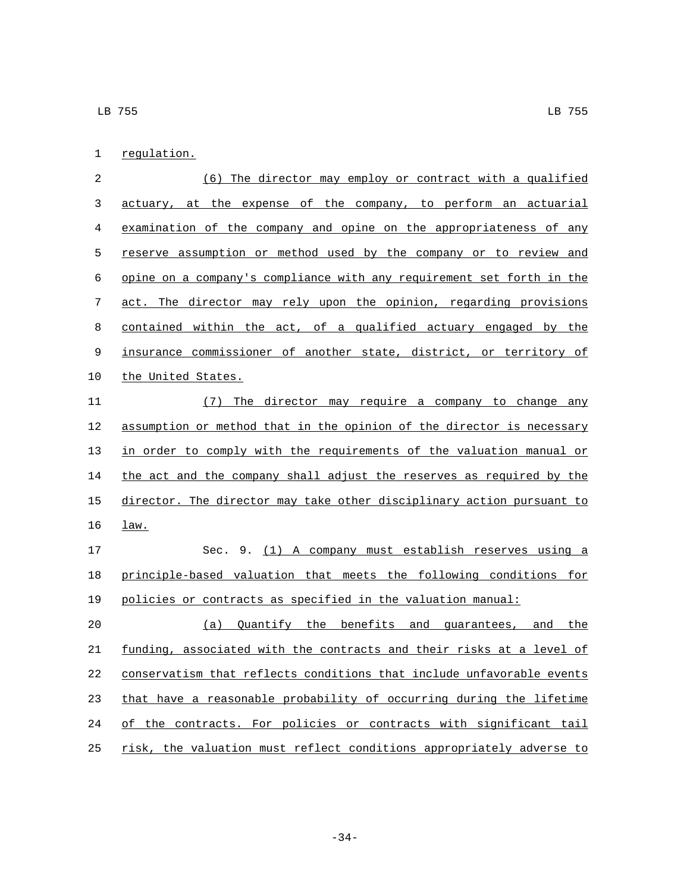1 regulation.

| 2           | (6) The director may employ or contract with a qualified              |
|-------------|-----------------------------------------------------------------------|
| 3           | actuary, at the expense of the company, to perform an actuarial       |
| 4           | examination of the company and opine on the appropriateness of any    |
| 5           | reserve assumption or method used by the company or to review and     |
| 6           | opine on a company's compliance with any requirement set forth in the |
| 7           | act. The director may rely upon the opinion, regarding provisions     |
| 8           | contained within the act, of a qualified actuary engaged by the       |
| $\mathsf 9$ | insurance commissioner of another state, district, or territory of    |
| 10          | the United States.                                                    |
| 11          | (7)<br>The director may require a company to change any               |
| 12          | assumption or method that in the opinion of the director is necessary |
| 13          | in order to comply with the requirements of the valuation manual or   |
| 14          | the act and the company shall adjust the reserves as required by the  |
| 15          | director. The director may take other disciplinary action pursuant to |
| 16          | law.                                                                  |
| 17          | Sec. 9. (1) A company must establish reserves using a                 |
| 18          | principle-based valuation that meets the following conditions for     |
| 19          | policies or contracts as specified in the valuation manual:           |
| 20          | Quantify the benefits and guarantees, and<br>(a)<br>the               |
| 21          | funding, associated with the contracts and their risks at a level of  |
| 22          | conservatism that reflects conditions that include unfavorable events |
| 23          | that have a reasonable probability of occurring during the lifetime   |
| 24          | of the contracts. For policies or contracts with significant tail     |
| 25          | risk, the valuation must reflect conditions appropriately adverse to  |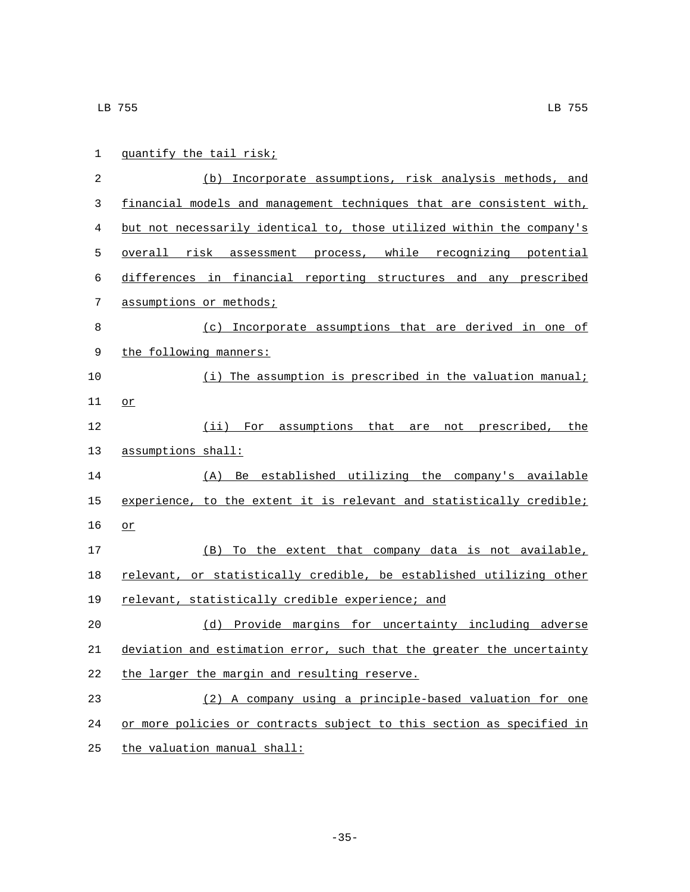| 1  | quantify the tail risk;                                               |
|----|-----------------------------------------------------------------------|
| 2  | (b) Incorporate assumptions, risk analysis methods, and               |
| 3  | financial models and management techniques that are consistent with,  |
| 4  | but not necessarily identical to, those utilized within the company's |
| 5  | overall risk assessment process, while recognizing potential          |
| 6  | differences in financial reporting structures and any prescribed      |
| 7  | assumptions or methods;                                               |
| 8  | (c) Incorporate assumptions that are derived in one of                |
| 9  | the following manners:                                                |
| 10 | (i) The assumption is prescribed in the valuation manual;             |
| 11 | or                                                                    |
| 12 | (ii) For assumptions that are not prescribed, the                     |
| 13 | assumptions shall:                                                    |
| 14 | (A) Be established utilizing the company's available                  |
| 15 | experience, to the extent it is relevant and statistically credible;  |
| 16 | or                                                                    |
| 17 | (B) To the extent that company data is not available,                 |
| 18 | relevant, or statistically credible, be established utilizing other   |
| 19 | relevant, statistically credible experience; and                      |
| 20 | (d) Provide margins for uncertainty including adverse                 |
| 21 | deviation and estimation error, such that the greater the uncertainty |
| 22 | the larger the margin and resulting reserve.                          |
| 23 | (2) A company using a principle-based valuation for one               |
| 24 | or more policies or contracts subject to this section as specified in |
| 25 | the valuation manual shall:                                           |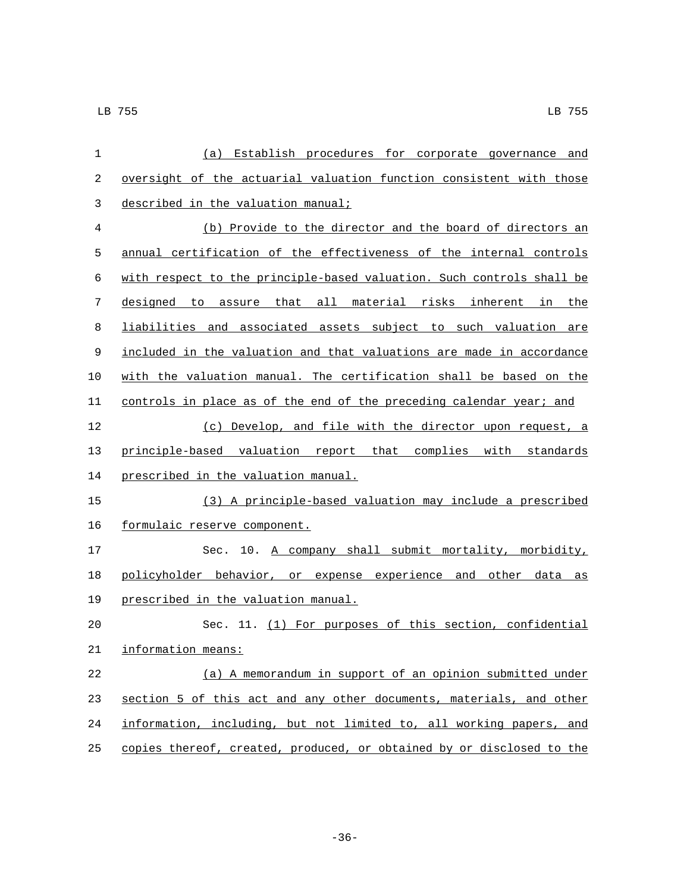| 1  | (a) Establish procedures for corporate governance and                   |
|----|-------------------------------------------------------------------------|
| 2  | oversight of the actuarial valuation function consistent with those     |
| 3  | described in the valuation manual;                                      |
| 4  | (b) Provide to the director and the board of directors an               |
| 5  | annual certification of the effectiveness of the internal controls      |
| 6  | with respect to the principle-based valuation. Such controls shall be   |
| 7  | designed to assure that all material risks inherent in<br>the           |
| 8  | liabilities and associated assets subject to such valuation are         |
| 9  | included in the valuation and that valuations are made in accordance    |
| 10 | with the valuation manual. The certification shall be based on the      |
| 11 | controls in place as of the end of the preceding calendar year; and     |
| 12 | (c) Develop, and file with the director upon request, a                 |
| 13 | principle-based valuation report that complies with standards           |
| 14 | prescribed in the valuation manual.                                     |
| 15 | (3) A principle-based valuation may include a prescribed                |
| 16 | formulaic reserve component.                                            |
| 17 | 10. A company shall submit mortality, morbidity,<br>Sec.                |
| 18 | policyholder behavior, or expense experience<br>and other<br>data<br>as |
| 19 | prescribed in the valuation manual.                                     |
| 20 | Sec. 11. (1) For purposes of this section, confidential                 |
| 21 | information means:                                                      |
| 22 | (a) A memorandum in support of an opinion submitted under               |
| 23 | section 5 of this act and any other documents, materials, and other     |
| 24 | information, including, but not limited to, all working papers, and     |
| 25 | copies thereof, created, produced, or obtained by or disclosed to the   |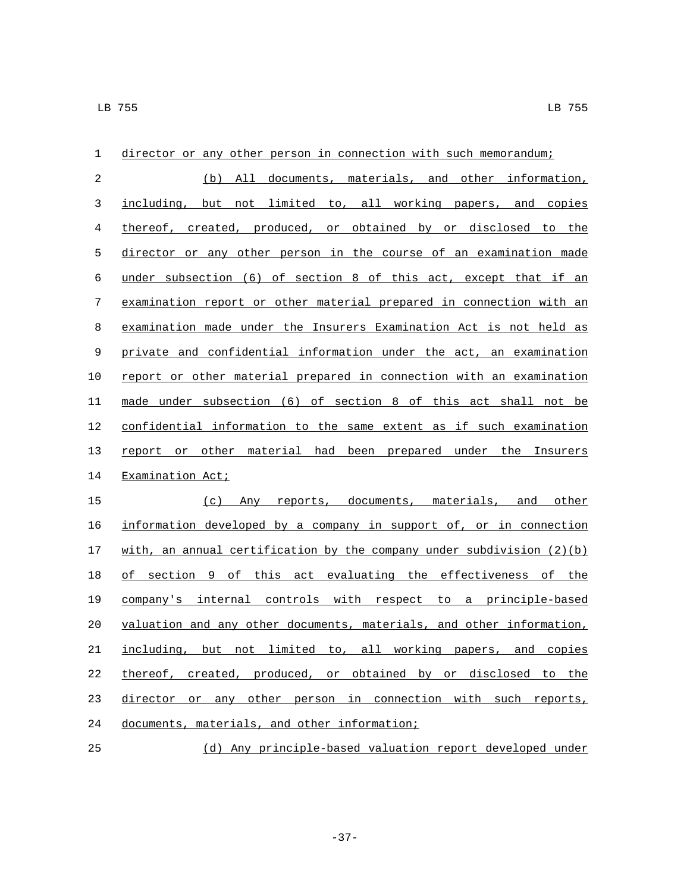| $\mathbf 1$ | director or any other person in connection with such memorandum;        |
|-------------|-------------------------------------------------------------------------|
| 2           | (b) All documents, materials, and other information,                    |
| 3           | including, but not limited to, all working papers, and copies           |
| 4           | thereof, created, produced, or obtained by or disclosed to the          |
| 5           | director or any other person in the course of an examination made       |
| 6           | under subsection (6) of section 8 of this act, except that if an        |
| 7           | examination report or other material prepared in connection with an     |
| 8           | examination made under the Insurers Examination Act is not held as      |
| 9           | private and confidential information under the act, an examination      |
| 10          | report or other material prepared in connection with an examination     |
| 11          | made under subsection (6) of section 8 of this act shall not be         |
| 12          | confidential information to the same extent as if such examination      |
| 13          | report or other material had been prepared under the Insurers           |
| 14          | Examination Act;                                                        |
| 15          | (c) Any reports, documents, materials, and other                        |
| 16          | information developed by a company in support of, or in connection      |
| 17          | with, an annual certification by the company under subdivision $(2)(b)$ |
| 18          | of section 9 of this act evaluating the effectiveness of the            |
| 19          | company's internal controls with respect to a principle-based           |
| 20          | valuation and any other documents, materials, and other information,    |
| 21          | but not limited to, all working papers, and copies<br>including,        |
| 22          | thereof, created, produced, or obtained by or disclosed to the          |
| 23          | director or any other person in connection with such reports,           |
| 24          | documents, materials, and other information;                            |
| 25          | (d) Any principle-based valuation report developed under                |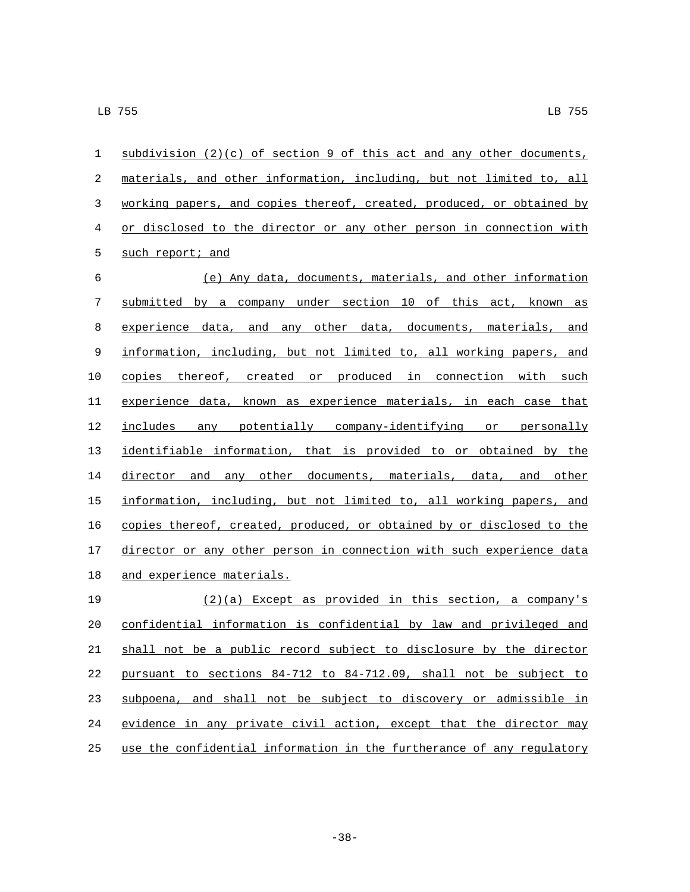| 1          | subdivision $(2)(c)$ of section 9 of this act and any other documents, |
|------------|------------------------------------------------------------------------|
| $\sqrt{2}$ | materials, and other information, including, but not limited to, all   |
| 3          | working papers, and copies thereof, created, produced, or obtained by  |
| $\,4$      | or disclosed to the director or any other person in connection with    |
| 5          | such report; and                                                       |
| 6          | (e) Any data, documents, materials, and other information              |
| 7          | submitted by a company under section 10 of this act, known as          |
| $\,8\,$    | experience data, and any other data, documents, materials, and         |
| 9          | information, including, but not limited to, all working papers, and    |
| 10         | copies thereof, created or produced in connection with such            |
| 11         | experience data, known as experience materials, in each case that      |
| 12         | includes any potentially company-identifying or personally             |
| 13         | identifiable information, that is provided to or obtained by the       |
| 14         | director and any other documents, materials, data, and other           |
| 15         | information, including, but not limited to, all working papers, and    |
| 16         | copies thereof, created, produced, or obtained by or disclosed to the  |
| 17         | director or any other person in connection with such experience data   |
| 18         | and experience materials.                                              |
| 19         | $(2)(a)$ Except as provided in this section, a company's               |
| 20         | confidential information is confidential by law and privileged and     |
| 21         | shall not be a public record subject to disclosure by the director     |
| 22         | pursuant to sections 84-712 to 84-712.09, shall not be subject to      |
| 23         | subpoena, and shall not be subject to discovery or admissible in       |

use the confidential information in the furtherance of any regulatory

24 evidence in any private civil action, except that the director may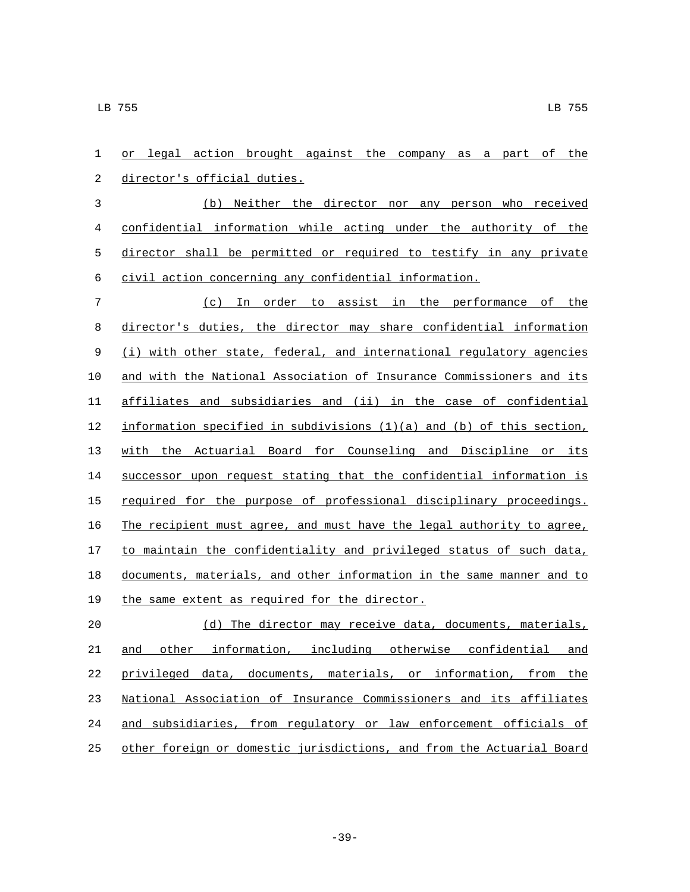or legal action brought against the company as a part of the 2 director's official duties. (b) Neither the director nor any person who received confidential information while acting under the authority of the director shall be permitted or required to testify in any private civil action concerning any confidential information. (c) In order to assist in the performance of the director's duties, the director may share confidential information (i) with other state, federal, and international regulatory agencies and with the National Association of Insurance Commissioners and its affiliates and subsidiaries and (ii) in the case of confidential information specified in subdivisions (1)(a) and (b) of this section, with the Actuarial Board for Counseling and Discipline or its successor upon request stating that the confidential information is 15 required for the purpose of professional disciplinary proceedings. The recipient must agree, and must have the legal authority to agree, 17 to maintain the confidentiality and privileged status of such data, documents, materials, and other information in the same manner and to 19 the same extent as required for the director. 20 (d) The director may receive data, documents, materials, and other information, including otherwise confidential and

 privileged data, documents, materials, or information, from the National Association of Insurance Commissioners and its affiliates and subsidiaries, from regulatory or law enforcement officials of other foreign or domestic jurisdictions, and from the Actuarial Board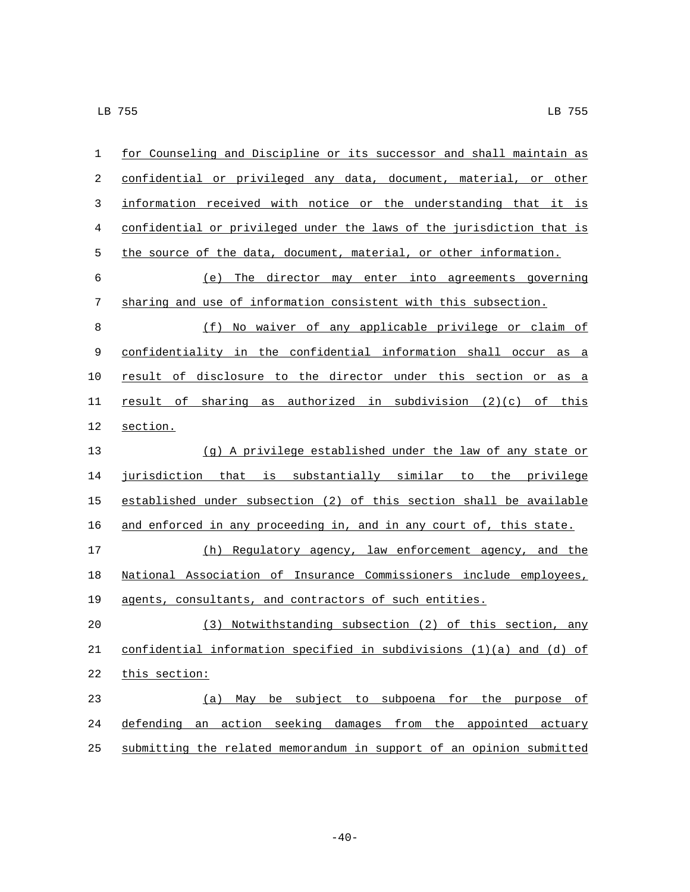| $\mathbf{1}$ | for Counseling and Discipline or its successor and shall maintain as  |
|--------------|-----------------------------------------------------------------------|
| 2            | confidential or privileged any data, document, material, or other     |
| 3            | information received with notice or the understanding that it is      |
| 4            | confidential or privileged under the laws of the jurisdiction that is |
| 5            | the source of the data, document, material, or other information.     |
| 6            | (e) The director may enter into agreements governing                  |
| 7            | sharing and use of information consistent with this subsection.       |
| 8            | (f) No waiver of any applicable privilege or claim of                 |
| 9            | confidentiality in the confidential information shall occur as a      |
| 10           | result of disclosure to the director under this section or as a       |
| 11           | result of sharing as authorized in subdivision $(2)(c)$ of this       |
| 12           | section.                                                              |
| 13           | (g) A privilege established under the law of any state or             |
| 14           | jurisdiction that is substantially similar to the privilege           |
| 15           | established under subsection (2) of this section shall be available   |
| 16           | and enforced in any proceeding in, and in any court of, this state.   |
| 17           | (h) Regulatory agency, law enforcement agency, and the                |
| 18           | National Association of Insurance Commissioners include employees,    |
| 19           | agents, consultants, and contractors of such entities.                |
| 20           | (3) Notwithstanding subsection (2) of this section, any               |
| 21           | confidential information specified in subdivisions (1)(a) and (d) of  |
| 22           | this section:                                                         |
| 23           | (a) May be subject to subpoena for the purpose of                     |
| 24           | defending an action seeking damages from the appointed actuary        |
| 25           | submitting the related memorandum in support of an opinion submitted  |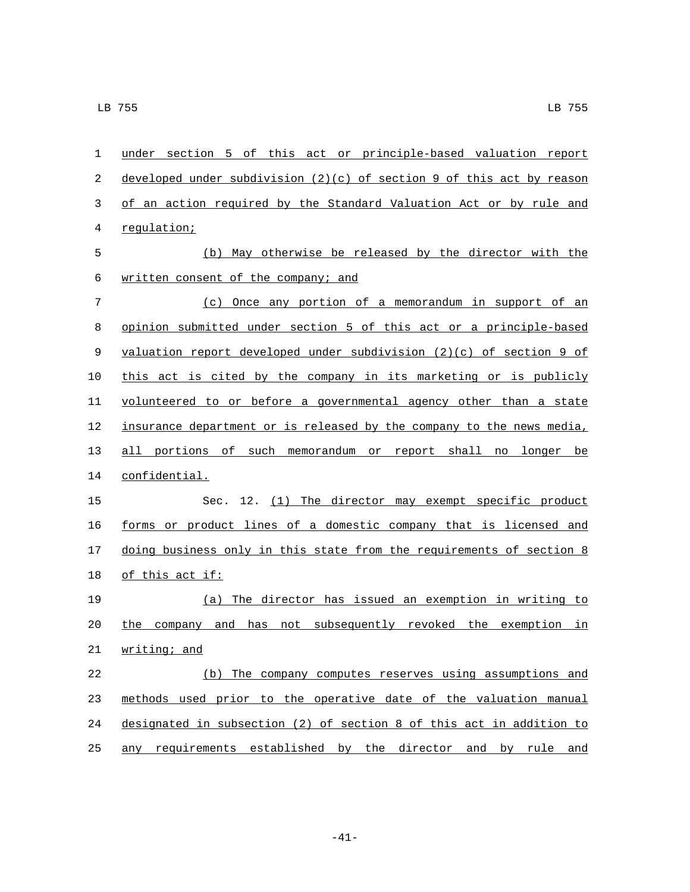| 1  | under section 5 of this act or principle-based valuation report         |
|----|-------------------------------------------------------------------------|
| 2  | developed under subdivision $(2)(c)$ of section 9 of this act by reason |
| 3  | of an action required by the Standard Valuation Act or by rule and      |
| 4  | regulation;                                                             |
| 5  | (b) May otherwise be released by the director with the                  |
| 6  | written consent of the company; and                                     |
| 7  | (c) Once any portion of a memorandum in support of an                   |
| 8  | opinion submitted under section 5 of this act or a principle-based      |
| 9  | valuation report developed under subdivision $(2)(c)$ of section 9 of   |
| 10 | this act is cited by the company in its marketing or is publicly        |
| 11 | volunteered to or before a governmental agency other than a state       |
| 12 | insurance department or is released by the company to the news media,   |
| 13 | all portions of such memorandum or report shall no longer be            |
| 14 | confidential.                                                           |
| 15 | Sec. 12. (1) The director may exempt specific product                   |
| 16 | forms or product lines of a domestic company that is licensed and       |
| 17 | doing business only in this state from the requirements of section 8    |
| 18 | <u>of this act if:</u>                                                  |
| 19 | (a) The director has issued an exemption in writing to                  |
| 20 | not subsequently revoked the exemption in<br>the company and<br>has     |
| 21 | writing; and                                                            |
| 22 | (b) The company computes reserves using assumptions and                 |
| 23 | methods used prior to the operative date of the valuation manual        |
| 24 | designated in subsection (2) of section 8 of this act in addition to    |
| 25 | any requirements established by the director and by rule and            |

-41-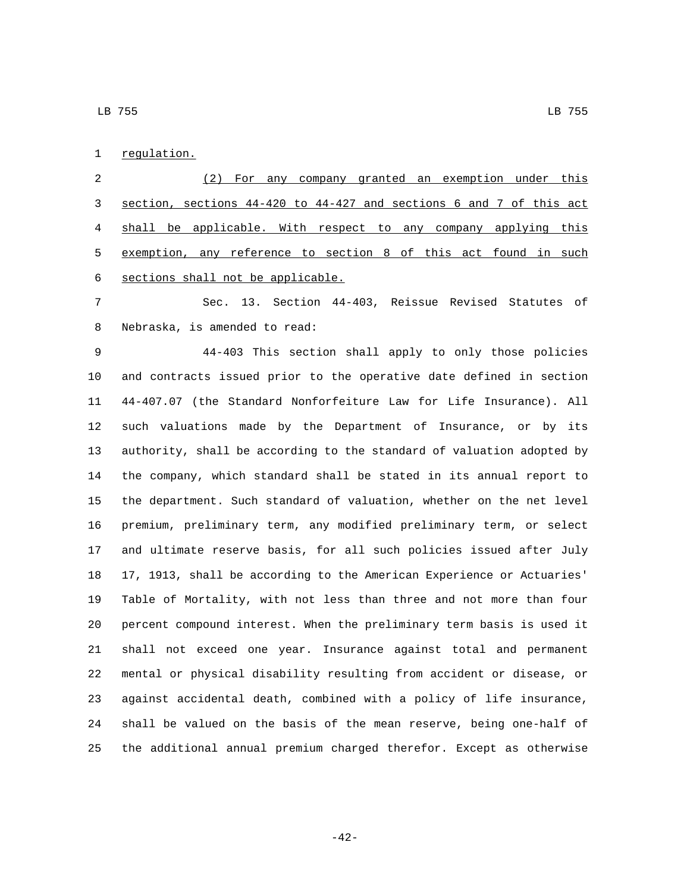1 regulation.

 (2) For any company granted an exemption under this section, sections 44-420 to 44-427 and sections 6 and 7 of this act shall be applicable. With respect to any company applying this exemption, any reference to section 8 of this act found in such 6 sections shall not be applicable.

 Sec. 13. Section 44-403, Reissue Revised Statutes of 8 Nebraska, is amended to read:

 44-403 This section shall apply to only those policies and contracts issued prior to the operative date defined in section 44-407.07 (the Standard Nonforfeiture Law for Life Insurance). All such valuations made by the Department of Insurance, or by its authority, shall be according to the standard of valuation adopted by the company, which standard shall be stated in its annual report to the department. Such standard of valuation, whether on the net level premium, preliminary term, any modified preliminary term, or select and ultimate reserve basis, for all such policies issued after July 17, 1913, shall be according to the American Experience or Actuaries' Table of Mortality, with not less than three and not more than four percent compound interest. When the preliminary term basis is used it shall not exceed one year. Insurance against total and permanent mental or physical disability resulting from accident or disease, or against accidental death, combined with a policy of life insurance, shall be valued on the basis of the mean reserve, being one-half of the additional annual premium charged therefor. Except as otherwise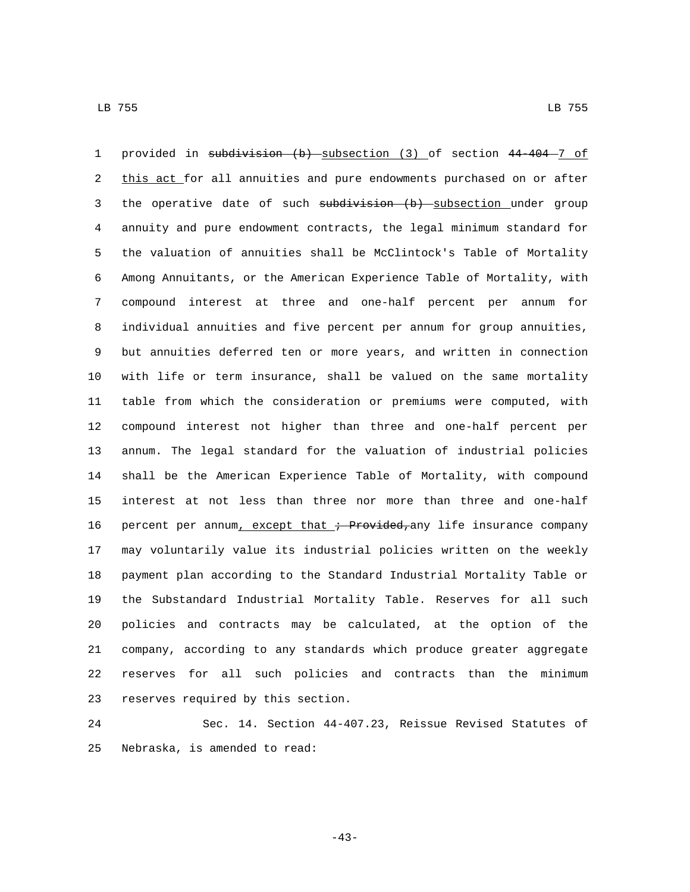1 provided in subdivision (b) subsection (3) of section  $44-404-7$  of 2 this act for all annuities and pure endowments purchased on or after 3 the operative date of such subdivision (b) subsection under group annuity and pure endowment contracts, the legal minimum standard for the valuation of annuities shall be McClintock's Table of Mortality Among Annuitants, or the American Experience Table of Mortality, with compound interest at three and one-half percent per annum for individual annuities and five percent per annum for group annuities, but annuities deferred ten or more years, and written in connection with life or term insurance, shall be valued on the same mortality table from which the consideration or premiums were computed, with compound interest not higher than three and one-half percent per annum. The legal standard for the valuation of industrial policies shall be the American Experience Table of Mortality, with compound interest at not less than three nor more than three and one-half 16 percent per annum, except that  $\div$  Provided, any life insurance company may voluntarily value its industrial policies written on the weekly payment plan according to the Standard Industrial Mortality Table or the Substandard Industrial Mortality Table. Reserves for all such policies and contracts may be calculated, at the option of the company, according to any standards which produce greater aggregate reserves for all such policies and contracts than the minimum 23 reserves required by this section.

 Sec. 14. Section 44-407.23, Reissue Revised Statutes of 25 Nebraska, is amended to read:

-43-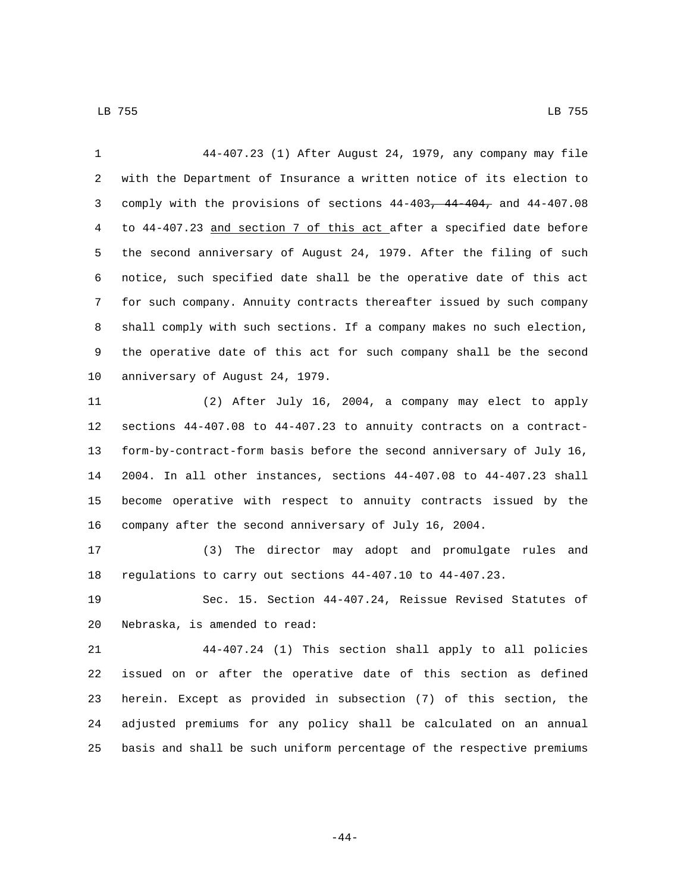44-407.23 (1) After August 24, 1979, any company may file with the Department of Insurance a written notice of its election to comply with the provisions of sections 44-403, 44-404, and 44-407.08 to 44-407.23 and section 7 of this act after a specified date before the second anniversary of August 24, 1979. After the filing of such notice, such specified date shall be the operative date of this act for such company. Annuity contracts thereafter issued by such company shall comply with such sections. If a company makes no such election, the operative date of this act for such company shall be the second 10 anniversary of August 24, 1979.

 (2) After July 16, 2004, a company may elect to apply sections 44-407.08 to 44-407.23 to annuity contracts on a contract- form-by-contract-form basis before the second anniversary of July 16, 2004. In all other instances, sections 44-407.08 to 44-407.23 shall become operative with respect to annuity contracts issued by the company after the second anniversary of July 16, 2004.

 (3) The director may adopt and promulgate rules and regulations to carry out sections 44-407.10 to 44-407.23.

 Sec. 15. Section 44-407.24, Reissue Revised Statutes of 20 Nebraska, is amended to read:

 44-407.24 (1) This section shall apply to all policies issued on or after the operative date of this section as defined herein. Except as provided in subsection (7) of this section, the adjusted premiums for any policy shall be calculated on an annual basis and shall be such uniform percentage of the respective premiums

-44-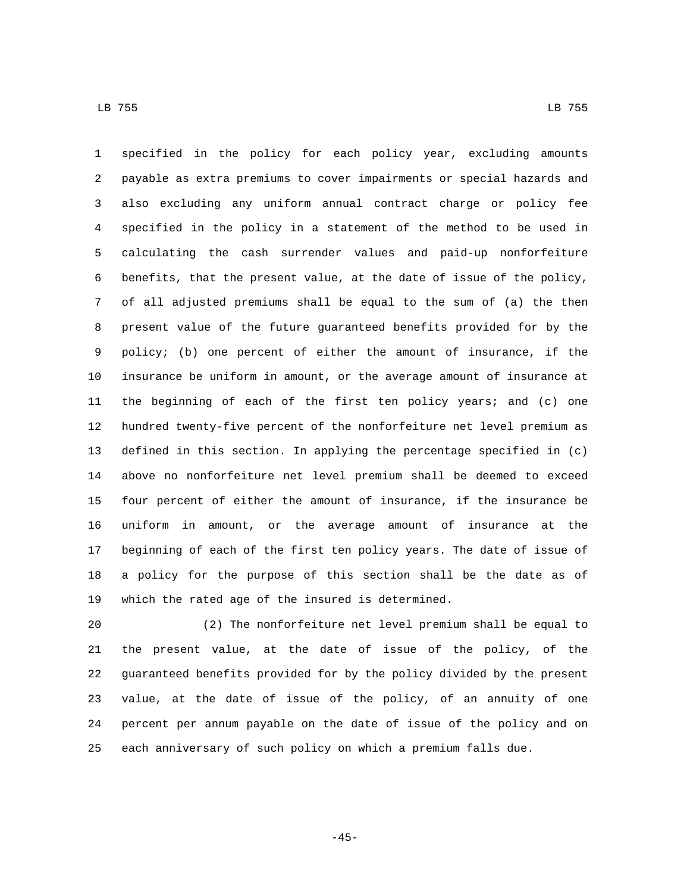specified in the policy for each policy year, excluding amounts payable as extra premiums to cover impairments or special hazards and also excluding any uniform annual contract charge or policy fee specified in the policy in a statement of the method to be used in calculating the cash surrender values and paid-up nonforfeiture benefits, that the present value, at the date of issue of the policy, of all adjusted premiums shall be equal to the sum of (a) the then present value of the future guaranteed benefits provided for by the policy; (b) one percent of either the amount of insurance, if the insurance be uniform in amount, or the average amount of insurance at the beginning of each of the first ten policy years; and (c) one hundred twenty-five percent of the nonforfeiture net level premium as defined in this section. In applying the percentage specified in (c) above no nonforfeiture net level premium shall be deemed to exceed four percent of either the amount of insurance, if the insurance be uniform in amount, or the average amount of insurance at the beginning of each of the first ten policy years. The date of issue of a policy for the purpose of this section shall be the date as of 19 which the rated age of the insured is determined.

 (2) The nonforfeiture net level premium shall be equal to the present value, at the date of issue of the policy, of the guaranteed benefits provided for by the policy divided by the present value, at the date of issue of the policy, of an annuity of one percent per annum payable on the date of issue of the policy and on each anniversary of such policy on which a premium falls due.

-45-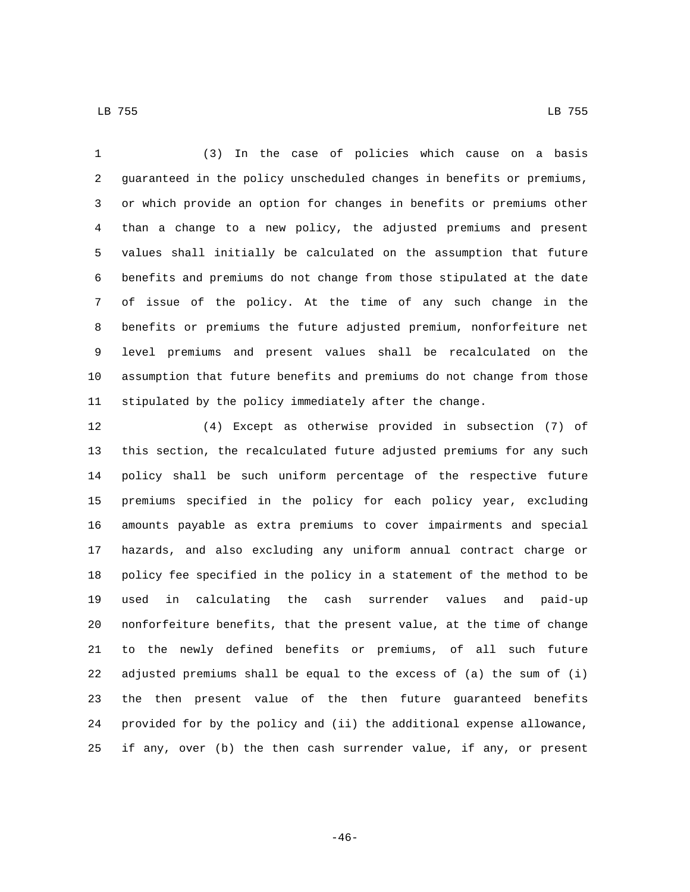LB 755 LB 755

 (3) In the case of policies which cause on a basis guaranteed in the policy unscheduled changes in benefits or premiums, or which provide an option for changes in benefits or premiums other than a change to a new policy, the adjusted premiums and present values shall initially be calculated on the assumption that future benefits and premiums do not change from those stipulated at the date of issue of the policy. At the time of any such change in the benefits or premiums the future adjusted premium, nonforfeiture net level premiums and present values shall be recalculated on the assumption that future benefits and premiums do not change from those stipulated by the policy immediately after the change.

 (4) Except as otherwise provided in subsection (7) of this section, the recalculated future adjusted premiums for any such policy shall be such uniform percentage of the respective future premiums specified in the policy for each policy year, excluding amounts payable as extra premiums to cover impairments and special hazards, and also excluding any uniform annual contract charge or policy fee specified in the policy in a statement of the method to be used in calculating the cash surrender values and paid-up nonforfeiture benefits, that the present value, at the time of change to the newly defined benefits or premiums, of all such future adjusted premiums shall be equal to the excess of (a) the sum of (i) the then present value of the then future guaranteed benefits provided for by the policy and (ii) the additional expense allowance, if any, over (b) the then cash surrender value, if any, or present

-46-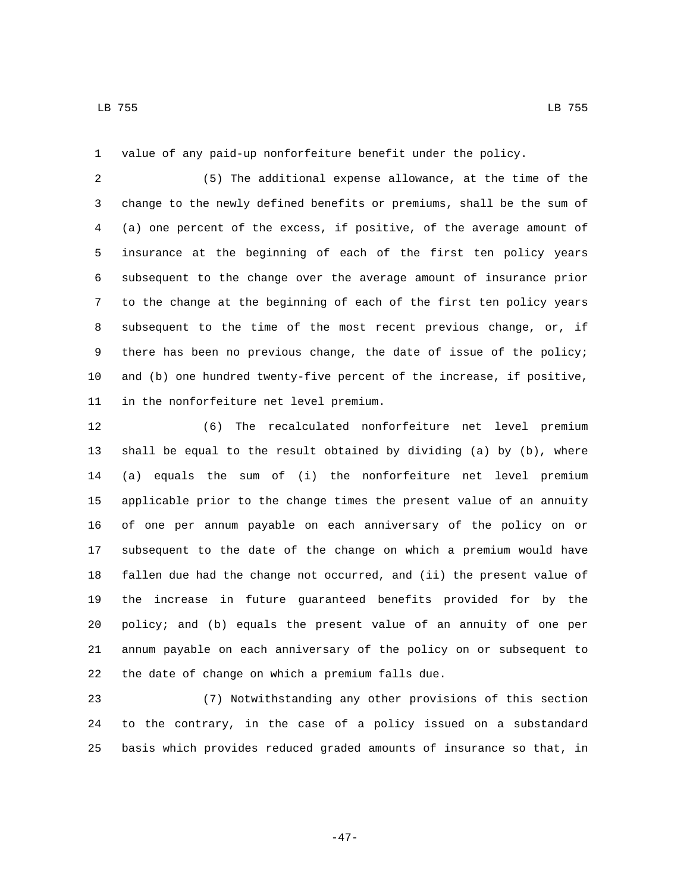value of any paid-up nonforfeiture benefit under the policy.

 (5) The additional expense allowance, at the time of the change to the newly defined benefits or premiums, shall be the sum of (a) one percent of the excess, if positive, of the average amount of insurance at the beginning of each of the first ten policy years subsequent to the change over the average amount of insurance prior to the change at the beginning of each of the first ten policy years subsequent to the time of the most recent previous change, or, if there has been no previous change, the date of issue of the policy; and (b) one hundred twenty-five percent of the increase, if positive, 11 in the nonforfeiture net level premium.

 (6) The recalculated nonforfeiture net level premium shall be equal to the result obtained by dividing (a) by (b), where (a) equals the sum of (i) the nonforfeiture net level premium applicable prior to the change times the present value of an annuity of one per annum payable on each anniversary of the policy on or subsequent to the date of the change on which a premium would have fallen due had the change not occurred, and (ii) the present value of the increase in future guaranteed benefits provided for by the policy; and (b) equals the present value of an annuity of one per annum payable on each anniversary of the policy on or subsequent to 22 the date of change on which a premium falls due.

 (7) Notwithstanding any other provisions of this section to the contrary, in the case of a policy issued on a substandard basis which provides reduced graded amounts of insurance so that, in

-47-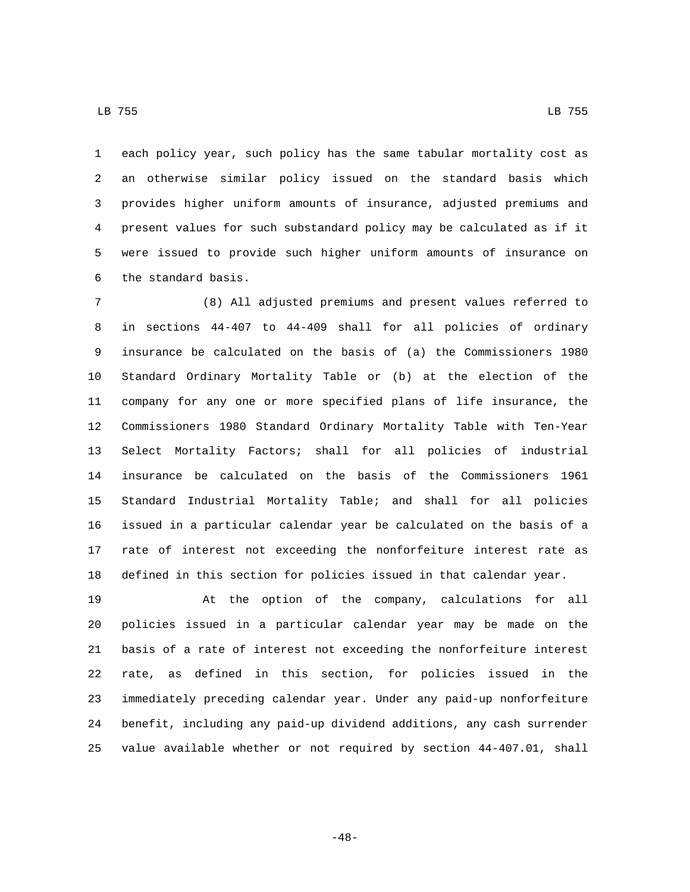each policy year, such policy has the same tabular mortality cost as an otherwise similar policy issued on the standard basis which provides higher uniform amounts of insurance, adjusted premiums and present values for such substandard policy may be calculated as if it were issued to provide such higher uniform amounts of insurance on 6 the standard basis.

 (8) All adjusted premiums and present values referred to in sections 44-407 to 44-409 shall for all policies of ordinary insurance be calculated on the basis of (a) the Commissioners 1980 Standard Ordinary Mortality Table or (b) at the election of the company for any one or more specified plans of life insurance, the Commissioners 1980 Standard Ordinary Mortality Table with Ten-Year Select Mortality Factors; shall for all policies of industrial insurance be calculated on the basis of the Commissioners 1961 Standard Industrial Mortality Table; and shall for all policies issued in a particular calendar year be calculated on the basis of a rate of interest not exceeding the nonforfeiture interest rate as defined in this section for policies issued in that calendar year.

 At the option of the company, calculations for all policies issued in a particular calendar year may be made on the basis of a rate of interest not exceeding the nonforfeiture interest rate, as defined in this section, for policies issued in the immediately preceding calendar year. Under any paid-up nonforfeiture benefit, including any paid-up dividend additions, any cash surrender value available whether or not required by section 44-407.01, shall

-48-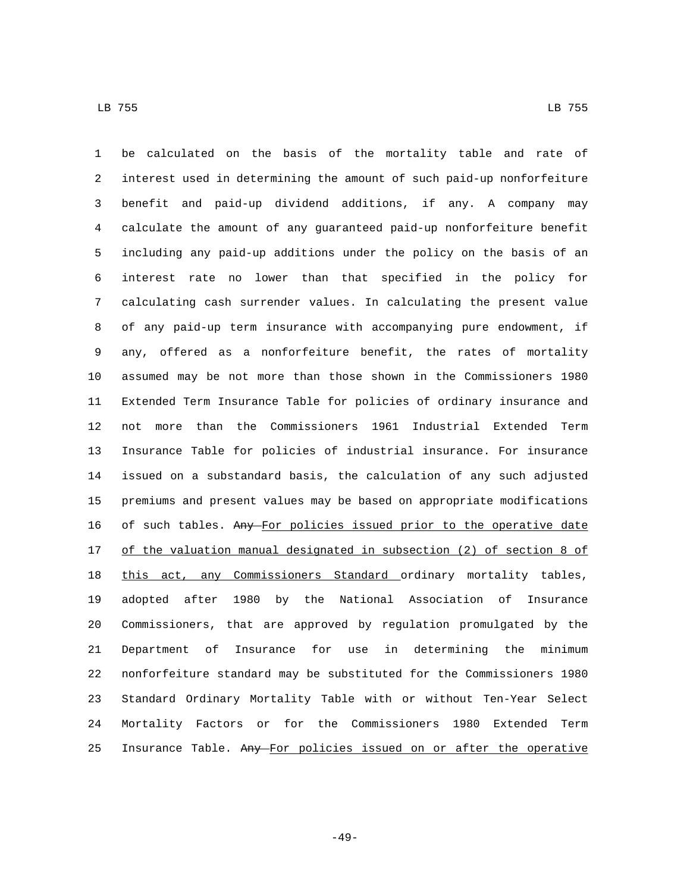be calculated on the basis of the mortality table and rate of interest used in determining the amount of such paid-up nonforfeiture benefit and paid-up dividend additions, if any. A company may calculate the amount of any guaranteed paid-up nonforfeiture benefit including any paid-up additions under the policy on the basis of an interest rate no lower than that specified in the policy for calculating cash surrender values. In calculating the present value of any paid-up term insurance with accompanying pure endowment, if any, offered as a nonforfeiture benefit, the rates of mortality assumed may be not more than those shown in the Commissioners 1980 Extended Term Insurance Table for policies of ordinary insurance and not more than the Commissioners 1961 Industrial Extended Term Insurance Table for policies of industrial insurance. For insurance issued on a substandard basis, the calculation of any such adjusted premiums and present values may be based on appropriate modifications 16 of such tables. Any For policies issued prior to the operative date of the valuation manual designated in subsection (2) of section 8 of 18 this act, any Commissioners Standard ordinary mortality tables, adopted after 1980 by the National Association of Insurance Commissioners, that are approved by regulation promulgated by the Department of Insurance for use in determining the minimum nonforfeiture standard may be substituted for the Commissioners 1980 Standard Ordinary Mortality Table with or without Ten-Year Select Mortality Factors or for the Commissioners 1980 Extended Term 25 Insurance Table. Any For policies issued on or after the operative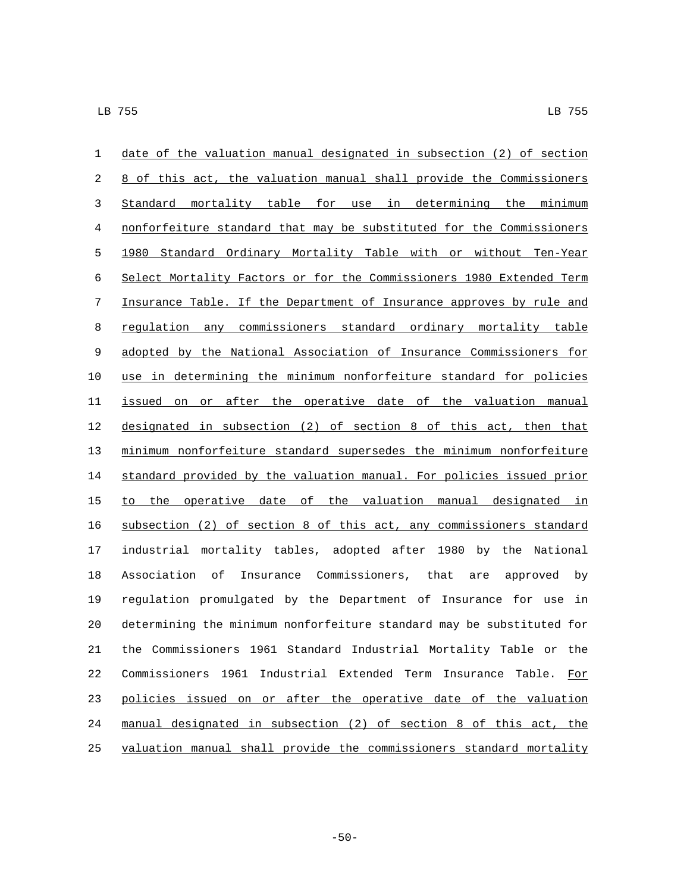| $\mathbf{1}$ | date of the valuation manual designated in subsection (2) of section  |
|--------------|-----------------------------------------------------------------------|
| 2            | 8 of this act, the valuation manual shall provide the Commissioners   |
| 3            | Standard mortality table for use in determining the minimum           |
| 4            | nonforfeiture standard that may be substituted for the Commissioners  |
| 5            | 1980 Standard Ordinary Mortality Table with or without Ten-Year       |
| 6            | Select Mortality Factors or for the Commissioners 1980 Extended Term  |
| 7            | Insurance Table. If the Department of Insurance approves by rule and  |
| 8            | regulation any commissioners standard ordinary mortality table        |
| 9            | adopted by the National Association of Insurance Commissioners for    |
| 10           | use in determining the minimum nonforfeiture standard for policies    |
| 11           | issued on or after the operative date of the valuation manual         |
| 12           | designated in subsection (2) of section 8 of this act, then that      |
| 13           | minimum nonforfeiture standard supersedes the minimum nonforfeiture   |
| 14           | standard provided by the valuation manual. For policies issued prior  |
| 15           | to the operative date of the valuation manual designated in           |
| 16           | subsection (2) of section 8 of this act, any commissioners standard   |
| 17           | industrial mortality tables, adopted after 1980 by the National       |
| 18           | Insurance Commissioners, that are approved by<br>Association of       |
| 19           | regulation promulgated by the Department of Insurance for use in      |
| 20           | determining the minimum nonforfeiture standard may be substituted for |
| 21           | the Commissioners 1961 Standard Industrial Mortality Table or the     |
| 22           | Commissioners 1961 Industrial Extended Term Insurance Table.<br>For   |
| 23           | policies issued on or after the operative date of the valuation       |
| 24           | manual designated in subsection (2) of section 8 of this act, the     |
| 25           | valuation manual shall provide the commissioners standard mortality   |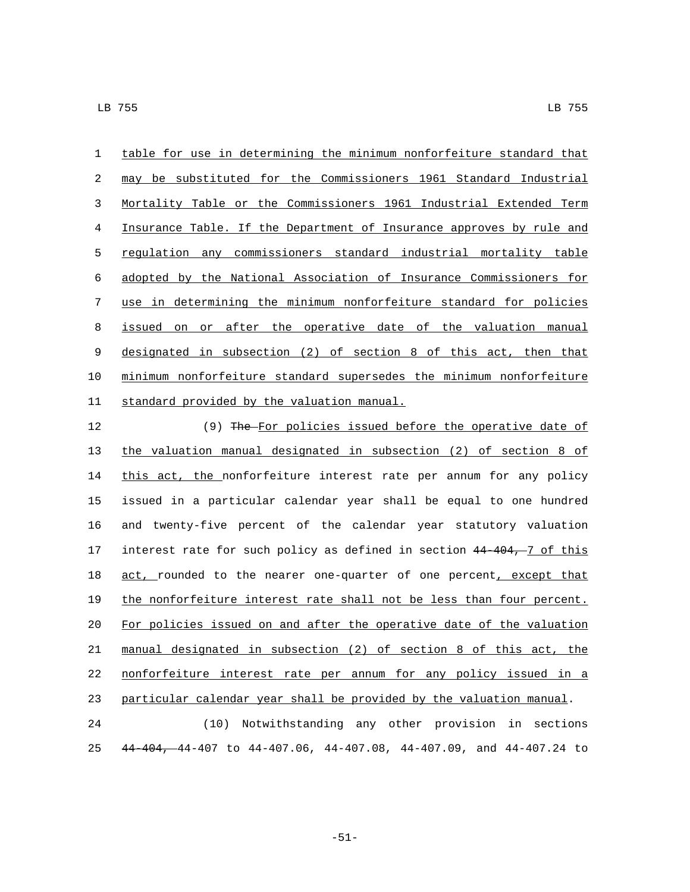table for use in determining the minimum nonforfeiture standard that may be substituted for the Commissioners 1961 Standard Industrial Mortality Table or the Commissioners 1961 Industrial Extended Term Insurance Table. If the Department of Insurance approves by rule and regulation any commissioners standard industrial mortality table adopted by the National Association of Insurance Commissioners for use in determining the minimum nonforfeiture standard for policies issued on or after the operative date of the valuation manual designated in subsection (2) of section 8 of this act, then that minimum nonforfeiture standard supersedes the minimum nonforfeiture 11 standard provided by the valuation manual.

12 (9) The For policies issued before the operative date of the valuation manual designated in subsection (2) of section 8 of this act, the nonforfeiture interest rate per annum for any policy issued in a particular calendar year shall be equal to one hundred and twenty-five percent of the calendar year statutory valuation 17 interest rate for such policy as defined in section 44-404, 7 of this 18 act, rounded to the nearer one-quarter of one percent, except that the nonforfeiture interest rate shall not be less than four percent. For policies issued on and after the operative date of the valuation manual designated in subsection (2) of section 8 of this act, the nonforfeiture interest rate per annum for any policy issued in a particular calendar year shall be provided by the valuation manual.

 (10) Notwithstanding any other provision in sections 44-404, 44-407 to 44-407.06, 44-407.08, 44-407.09, and 44-407.24 to

-51-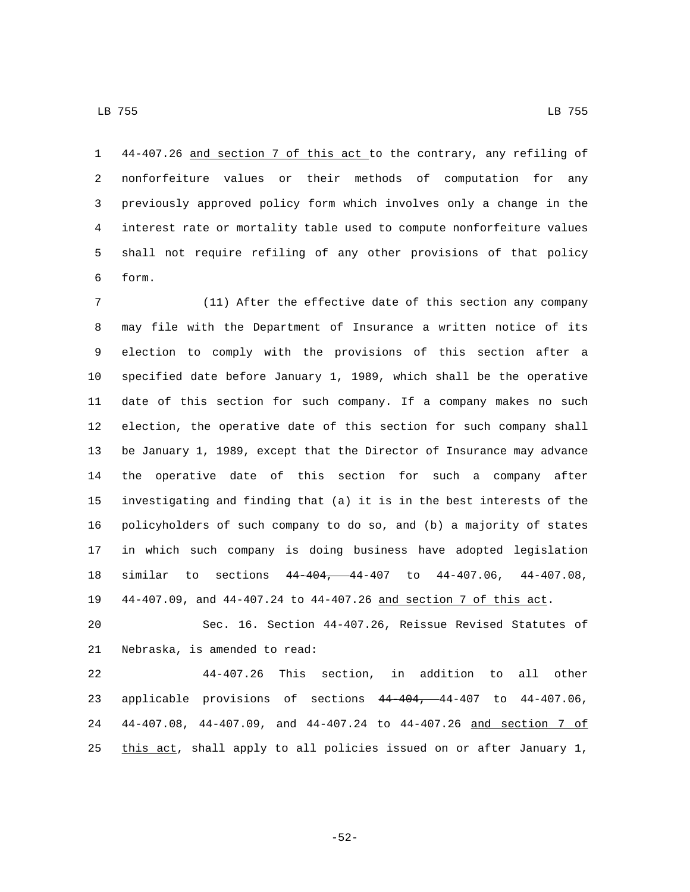44-407.26 and section 7 of this act to the contrary, any refiling of nonforfeiture values or their methods of computation for any previously approved policy form which involves only a change in the interest rate or mortality table used to compute nonforfeiture values shall not require refiling of any other provisions of that policy form.6

 (11) After the effective date of this section any company may file with the Department of Insurance a written notice of its election to comply with the provisions of this section after a specified date before January 1, 1989, which shall be the operative date of this section for such company. If a company makes no such election, the operative date of this section for such company shall be January 1, 1989, except that the Director of Insurance may advance the operative date of this section for such a company after investigating and finding that (a) it is in the best interests of the policyholders of such company to do so, and (b) a majority of states in which such company is doing business have adopted legislation similar to sections 44-404, 44-407 to 44-407.06, 44-407.08, 44-407.09, and 44-407.24 to 44-407.26 and section 7 of this act.

 Sec. 16. Section 44-407.26, Reissue Revised Statutes of 21 Nebraska, is amended to read:

 44-407.26 This section, in addition to all other applicable provisions of sections 44-404, 44-407 to 44-407.06, 44-407.08, 44-407.09, and 44-407.24 to 44-407.26 and section 7 of this act, shall apply to all policies issued on or after January 1,

-52-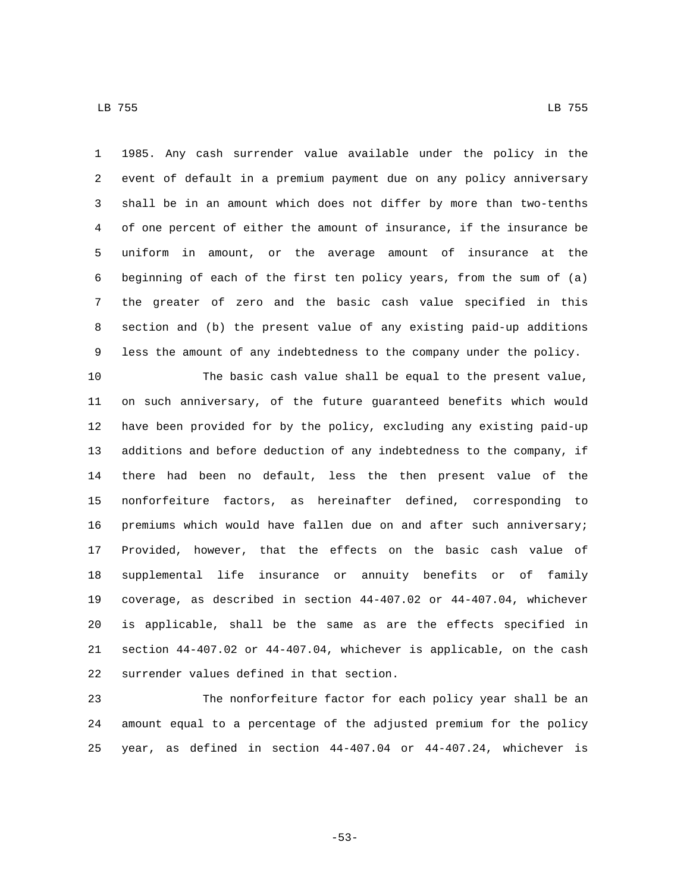1985. Any cash surrender value available under the policy in the event of default in a premium payment due on any policy anniversary shall be in an amount which does not differ by more than two-tenths of one percent of either the amount of insurance, if the insurance be uniform in amount, or the average amount of insurance at the beginning of each of the first ten policy years, from the sum of (a) the greater of zero and the basic cash value specified in this section and (b) the present value of any existing paid-up additions less the amount of any indebtedness to the company under the policy.

 The basic cash value shall be equal to the present value, on such anniversary, of the future guaranteed benefits which would have been provided for by the policy, excluding any existing paid-up additions and before deduction of any indebtedness to the company, if there had been no default, less the then present value of the nonforfeiture factors, as hereinafter defined, corresponding to premiums which would have fallen due on and after such anniversary; Provided, however, that the effects on the basic cash value of supplemental life insurance or annuity benefits or of family coverage, as described in section 44-407.02 or 44-407.04, whichever is applicable, shall be the same as are the effects specified in section 44-407.02 or 44-407.04, whichever is applicable, on the cash 22 surrender values defined in that section.

 The nonforfeiture factor for each policy year shall be an amount equal to a percentage of the adjusted premium for the policy year, as defined in section 44-407.04 or 44-407.24, whichever is

-53-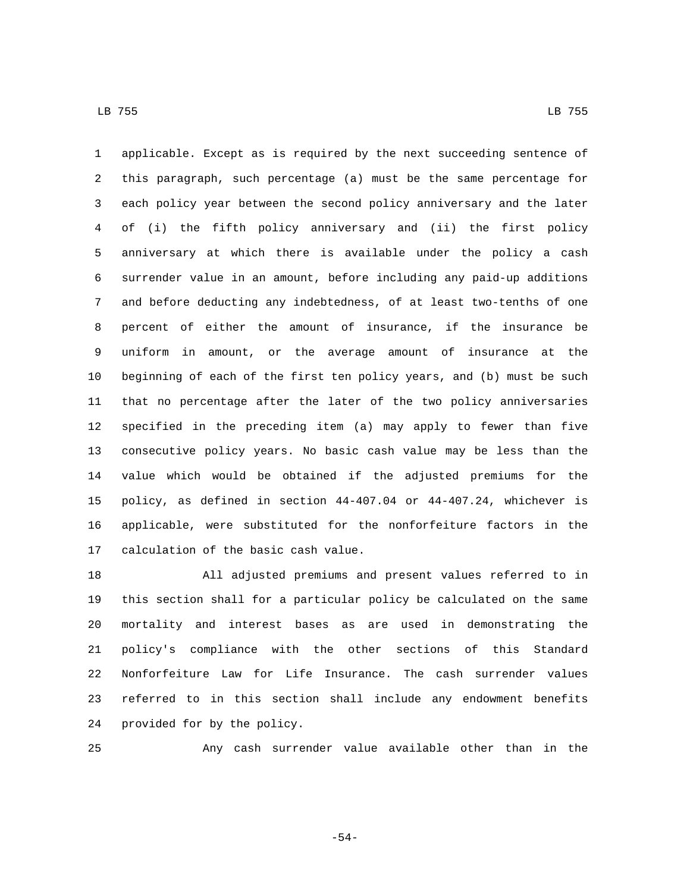applicable. Except as is required by the next succeeding sentence of this paragraph, such percentage (a) must be the same percentage for each policy year between the second policy anniversary and the later of (i) the fifth policy anniversary and (ii) the first policy anniversary at which there is available under the policy a cash surrender value in an amount, before including any paid-up additions and before deducting any indebtedness, of at least two-tenths of one percent of either the amount of insurance, if the insurance be uniform in amount, or the average amount of insurance at the beginning of each of the first ten policy years, and (b) must be such that no percentage after the later of the two policy anniversaries specified in the preceding item (a) may apply to fewer than five consecutive policy years. No basic cash value may be less than the value which would be obtained if the adjusted premiums for the policy, as defined in section 44-407.04 or 44-407.24, whichever is applicable, were substituted for the nonforfeiture factors in the 17 calculation of the basic cash value.

 All adjusted premiums and present values referred to in this section shall for a particular policy be calculated on the same mortality and interest bases as are used in demonstrating the policy's compliance with the other sections of this Standard Nonforfeiture Law for Life Insurance. The cash surrender values referred to in this section shall include any endowment benefits 24 provided for by the policy.

Any cash surrender value available other than in the

-54-